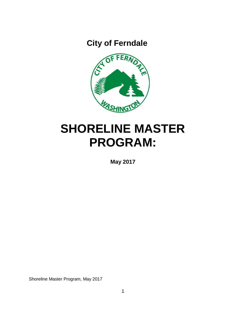**City of Ferndale**



# **SHORELINE MASTER PROGRAM:**

**May 2017**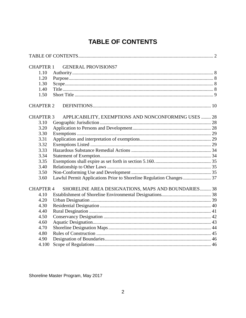<span id="page-1-0"></span>

| <b>CHAPTER 1</b> | <b>GENERAL PROVISIONS7</b>                           |  |
|------------------|------------------------------------------------------|--|
| 1.10             |                                                      |  |
| 1.20             |                                                      |  |
| 1.30             |                                                      |  |
| 1.40             |                                                      |  |
| 1.50             |                                                      |  |
| <b>CHAPTER 2</b> |                                                      |  |
| <b>CHAPTER 3</b> | APPLICABILITY, EXEMPTIONS AND NONCONFORMING USES  28 |  |
| 3.10             |                                                      |  |
| 3.20             |                                                      |  |
| 3.30             |                                                      |  |
| 3.31             |                                                      |  |
| 3.32             |                                                      |  |
| 3.33             |                                                      |  |
| 3.34             |                                                      |  |
| 3.35             |                                                      |  |
| 3.40             |                                                      |  |
| 3.50             |                                                      |  |
| 3.60             |                                                      |  |
| <b>CHAPTER 4</b> | SHORELINE AREA DESIGNATIONS, MAPS AND BOUNDARIES 38  |  |
| 4.10             |                                                      |  |
| 4.20             |                                                      |  |
| 4.30             |                                                      |  |
| 4.40             |                                                      |  |
| 4.50             |                                                      |  |
| 4.60             |                                                      |  |
| 4.70             |                                                      |  |
| 4.80             |                                                      |  |
| 4.90             |                                                      |  |
| 4.100            |                                                      |  |
|                  |                                                      |  |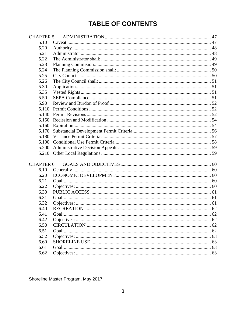| <b>CHAPTER 5</b> |        |  |
|------------------|--------|--|
| 5.10             |        |  |
| 5.20             |        |  |
| 5.21             |        |  |
| 5.22             |        |  |
| 5.23             |        |  |
| 5.24             |        |  |
| 5.25             |        |  |
| 5.26             |        |  |
| 5.30             |        |  |
| 5.35             |        |  |
| 5.50             |        |  |
| 5.90             |        |  |
| 5.110            |        |  |
| 5.140            |        |  |
| 5.150            |        |  |
| 5.160            |        |  |
| 5.170            |        |  |
| 5.180            |        |  |
| 5.190            |        |  |
| 5.200            |        |  |
| 5.210            |        |  |
|                  |        |  |
| <b>CHAPTER 6</b> |        |  |
| 6.10             |        |  |
| 6.20             |        |  |
| 6.21             |        |  |
| 6.22             |        |  |
| 6.30             |        |  |
| 6.31             |        |  |
| 6.32             |        |  |
| 6.40             |        |  |
| 6.41             |        |  |
| 6.42             |        |  |
| 6.50             |        |  |
| 6.51             | Goal:. |  |
| 6.52             |        |  |
| 6.60             |        |  |
| 6.61             |        |  |
| 6.62             |        |  |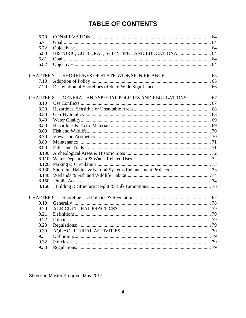| 6.70             |                                                     |  |
|------------------|-----------------------------------------------------|--|
| 6.71             |                                                     |  |
| 6.72             |                                                     |  |
| 6.80             | HISTORIC, CULTURAL, SCIENTIFIC, AND EDUCATIONAL  64 |  |
| 6.81             |                                                     |  |
| 6.82             |                                                     |  |
| <b>CHAPTER 7</b> |                                                     |  |
| 7.10             |                                                     |  |
| 7.20             |                                                     |  |
| <b>CHAPTER 8</b> | GENERAL AND SPECIAL POLICIES AND REGULATIONS 67     |  |
| 8.10             |                                                     |  |
| 8.20             |                                                     |  |
| 8.30             |                                                     |  |
| 8.40             |                                                     |  |
| 8.50             |                                                     |  |
| 8.60             |                                                     |  |
| 8.70             |                                                     |  |
| 8.80             |                                                     |  |
| 8.90             |                                                     |  |
| 8.100            |                                                     |  |
| 8.110            |                                                     |  |
| 8.120            |                                                     |  |
| 8.130            |                                                     |  |
| 8.140            |                                                     |  |
| 8.150            |                                                     |  |
| 8.160            |                                                     |  |
| <b>CHAPTER 9</b> |                                                     |  |
| 9.10             |                                                     |  |
| 9.20             |                                                     |  |
| 9.21             |                                                     |  |
| 9.22             | Policies:.                                          |  |
| 9.23             |                                                     |  |
| 9.30             |                                                     |  |
| 9.31             |                                                     |  |
| 9.32             |                                                     |  |
| 9.33             |                                                     |  |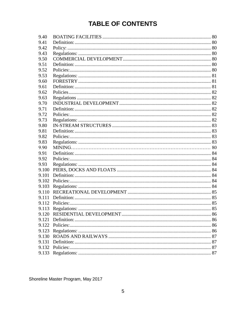| 9.40  |  |
|-------|--|
| 9.41  |  |
| 9.42  |  |
| 9.43  |  |
| 9.50  |  |
| 9.51  |  |
| 9.52  |  |
| 9.53  |  |
| 9.60  |  |
| 9.61  |  |
| 9.62  |  |
| 9.63  |  |
| 9.70  |  |
| 9.71  |  |
| 9.72  |  |
| 9.73  |  |
| 9.80  |  |
| 9.81  |  |
| 9.82  |  |
| 9.83  |  |
| 9.90  |  |
| 9.91  |  |
| 9.92  |  |
| 9.93  |  |
| 9.100 |  |
| 9.101 |  |
| 9.102 |  |
| 9.103 |  |
| 9.110 |  |
| 9.111 |  |
| 9.112 |  |
|       |  |
|       |  |
| 9.121 |  |
|       |  |
| 9.123 |  |
| 9.130 |  |
| 9.131 |  |
|       |  |
| 9.133 |  |
|       |  |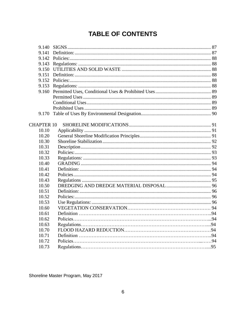| 9.140             |  |
|-------------------|--|
| 9.141             |  |
| 9.142             |  |
| 9.143             |  |
| 9.150             |  |
| 9.151             |  |
| 9.152             |  |
| 9.153             |  |
| 9.160             |  |
|                   |  |
|                   |  |
|                   |  |
| 9.170             |  |
|                   |  |
| <b>CHAPTER 10</b> |  |
| 10.10             |  |
| 10.20             |  |
| 10.30             |  |
| 10.31             |  |
| 10.32             |  |
| 10.33             |  |
| 10.40             |  |
| 10.41             |  |
| 10.42             |  |
| 10.43             |  |
| 10.50             |  |
| 10.51             |  |
| 10.52             |  |
| 10.53             |  |
| 10.60             |  |
| 10.61             |  |
| 10.62             |  |
| 10.63             |  |
| 10.70             |  |
| 10.71             |  |
| 10.72             |  |
| 10.73             |  |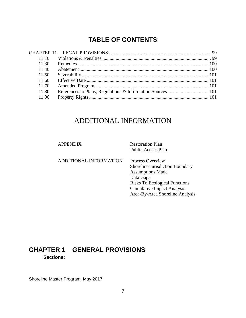| 11 10 |  |
|-------|--|
| 11.30 |  |
| 11.40 |  |
| 11.50 |  |
| 11.60 |  |
| 11.70 |  |
| 11.80 |  |
| 11.90 |  |

# ADDITIONAL INFORMATION

APPENDIX Restoration Plan Public Access Plan

ADDITIONAL INFORMATION Process Overview

Shoreline Jurisdiction Boundary Assumptions Made Data Gaps Risks To Ecological Functions Cumulative Impact Analysis Area-By-Area Shoreline Analysis

# <span id="page-6-0"></span>**CHAPTER 1 GENERAL PROVISIONS Sections:**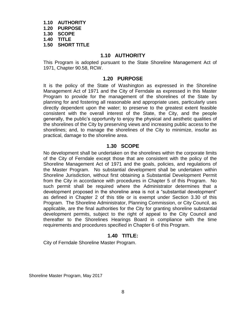**1.10 AUTHORITY 1.20 PURPOSE 1.30 SCOPE 1.40 TITLE 1.50 SHORT TITLE**

#### **1.10 AUTHORITY**

<span id="page-7-1"></span><span id="page-7-0"></span>This Program is adopted pursuant to the State Shoreline Management Act of 1971, Chapter 90.58, RCW.

#### **1.20 PURPOSE**

It is the policy of the State of Washington as expressed in the Shoreline Management Act of 1971 and the City of Ferndale as expressed in this Master Program to provide for the management of the shorelines of the State by planning for and fostering all reasonable and appropriate uses, particularly uses directly dependent upon the water; to preserve to the greatest extent feasible consistent with the overall interest of the State, the City, and the people generally, the public's opportunity to enjoy the physical and aesthetic qualities of the shorelines of the City by preserving views and increasing public access to the shorelines; and, to manage the shorelines of the City to minimize, insofar as practical, damage to the shoreline area.

#### **1.30 SCOPE**

<span id="page-7-2"></span>No development shall be undertaken on the shorelines within the corporate limits of the City of Ferndale except those that are consistent with the policy of the Shoreline Management Act of 1971 and the goals, policies, and regulations of the Master Program. No substantial development shall be undertaken within Shoreline Jurisdiction, without first obtaining a Substantial Development Permit from the City in accordance with procedures in Chapter 5 of this Program. No such permit shall be required where the Administrator determines that a development proposed in the shoreline area is not a "substantial development" as defined in Chapter 2 of this title or is exempt under Section 3.30 of this Program. The Shoreline Administrator, Planning Commission, or City Council, as applicable, are the final authorities for the City for granting shoreline substantial development permits, subject to the right of appeal to the City Council and thereafter to the Shorelines Hearings Board in compliance with the time requirements and procedures specified in Chapter 6 of this Program.

#### **1.40 TITLE:**

<span id="page-7-3"></span>City of Ferndale Shoreline Master Program.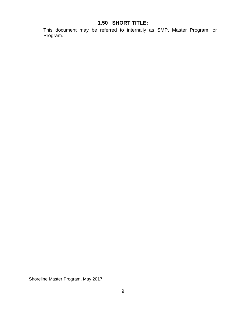# **1.50 SHORT TITLE:**

<span id="page-8-0"></span>This document may be referred to internally as SMP, Master Program, or Program.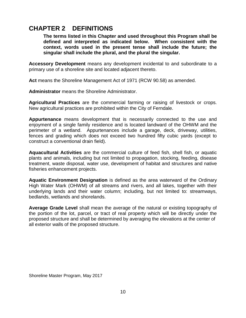# <span id="page-9-0"></span>**CHAPTER 2 DEFINITIONS**

**The terms listed in this Chapter and used throughout this Program shall be defined and interpreted as indicated below. When consistent with the context, words used in the present tense shall include the future; the singular shall include the plural, and the plural the singular.**

**Accessory Development** means any development incidental to and subordinate to a primary use of a shoreline site and located adjacent thereto.

**Act** means the Shoreline Management Act of 1971 (RCW 90.58) as amended.

**Administrator** means the Shoreline Administrator.

**Agricultural Practices** are the commercial farming or raising of livestock or crops. New agricultural practices are prohibited within the City of Ferndale.

**Appurtenance** means development that is necessarily connected to the use and enjoyment of a single family residence and is located landward of the OHWM and the perimeter of a wetland. Appurtenances include a garage, deck, driveway, utilities, fences and grading which does not exceed two hundred fifty cubic yards (except to construct a conventional drain field).

**Aquacultural Activities** are the commercial culture of feed fish, shell fish, or aquatic plants and animals, including but not limited to propagation, stocking, feeding, disease treatment, waste disposal, water use, development of habitat and structures and native fisheries enhancement projects.

**Aquatic Environment Designation** is defined as the area waterward of the Ordinary High Water Mark (OHWM) of all streams and rivers, and all lakes, together with their underlying lands and their water column; including, but not limited to: streamways, bedlands, wetlands and shorelands.

**Average Grade Level** shall mean the average of the natural or existing topography of the portion of the lot, parcel, or tract of real property which will be directly under the proposed structure and shall be determined by averaging the elevations at the center of all exterior walls of the proposed structure.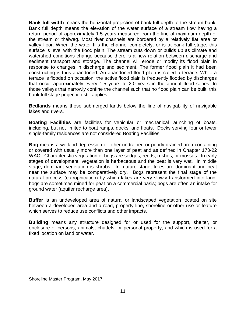**Bank full width** means the horizontal projection of bank full depth to the stream bank. Bank full depth means the elevation of the water surface of a stream flow having a return period of approximately 1.5 years measured from the line of maximum depth of the stream or thalweg. Most river channels are bordered by a relatively flat area or valley floor. When the water fills the channel completely, or is at bank full stage, this surface is level with the flood plain. The stream cuts down or builds up as climate and watershed conditions change because there is a new relation between discharge and sediment transport and storage. The channel will erode or modify its flood plain in response to changes in discharge and sediment. The former flood plain it had been constructing is thus abandoned. An abandoned flood plain is called a terrace. While a terrace is flooded on occasion, the active flood plain is frequently flooded by discharges that occur approximately every 1.5 years to 2.0 years in the annual flood series. In those valleys that narrowly confine the channel such that no flood plain can be built, this bank full stage projection still applies.

**Bedlands** means those submerged lands below the line of navigability of navigable lakes and rivers.

**Boating Facilities** are facilities for vehicular or mechanical launching of boats, including, but not limited to boat ramps, docks, and floats. Docks serving four or fewer single-family residences are not considered Boating Facilities.

**Bog** means a wetland depression or other undrained or poorly drained area containing or covered with usually more than one layer of peat and as defined in Chapter 173-22 WAC. Characteristic vegetation of bogs are sedges, reeds, rushes, or mosses. In early stages of development, vegetation is herbaceous and the peat is very wet. In middle stage, dominant vegetation is shrubs. In mature stage, trees are dominant and peat near the surface may be comparatively dry. Bogs represent the final stage of the natural process (eutrophication) by which lakes are very slowly transformed into land; bogs are sometimes mined for peat on a commercial basis; bogs are often an intake for ground water (aquifer recharge area).

**Buffer** is an undeveloped area of natural or landscaped vegetation located on site between a developed area and a road, property line, shoreline or other use or feature which serves to reduce use conflicts and other impacts.

**Building** means any structure designed for or used for the support, shelter, or enclosure of persons, animals, chattels, or personal property, and which is used for a fixed location on land or water.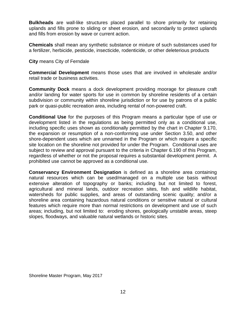**Bulkheads** are wall-like structures placed parallel to shore primarily for retaining uplands and fills prone to sliding or sheet erosion, and secondarily to protect uplands and fills from erosion by wave or current action.

**Chemicals** shall mean any synthetic substance or mixture of such substances used for a fertilizer, herbicide, pesticide, insecticide, rodenticide, or other deleterious products

#### **City** means City of Ferndale

**Commercial Development** means those uses that are involved in wholesale and/or retail trade or business activities.

**Community Dock** means a dock development providing moorage for pleasure craft and/or landing for water sports for use in common by shoreline residents of a certain subdivision or community within shoreline jurisdiction or for use by patrons of a public park or quasi-public recreation area, including rental of non-powered craft.

**Conditional Use** for the purposes of this Program means a particular type of use or development listed in the regulations as being permitted only as a conditional use, including specific uses shown as conditionally permitted by the chart in Chapter 9.170, the expansion or resumption of a non-conforming use under Section 3.50, and other shore-dependent uses which are unnamed in the Program or which require a specific site location on the shoreline not provided for under the Program. Conditional uses are subject to review and approval pursuant to the criteria in Chapter 6.190 of this Program, regardless of whether or not the proposal requires a substantial development permit. A prohibited use cannot be approved as a conditional use.

**Conservancy Environment Designation** is defined as a shoreline area containing natural resources which can be used/managed on a multiple use basis without extensive alteration of topography or banks; including but not limited to forest, agricultural and mineral lands, outdoor recreation sites, fish and wildlife habitat, watersheds for public supplies, and areas of outstanding scenic quality; and/or a shoreline area containing hazardous natural conditions or sensitive natural or cultural features which require more than normal restrictions on development and use of such areas; including, but not limited to: eroding shores, geologically unstable areas, steep slopes, floodways, and valuable natural wetlands or historic sites.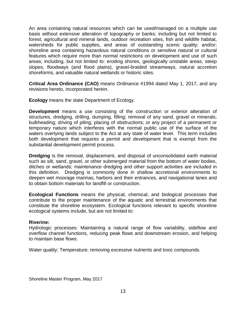An area containing natural resources which can be used/managed on a multiple use basis without extensive alteration of topography or banks; including but not limited to forest, agricultural and mineral lands, outdoor recreation sites, fish and wildlife habitat, watersheds for public supplies, and areas of outstanding scenic quality; and/or; shoreline area containing hazardous natural conditions or sensitive natural or cultural features which require more than normal restrictions on development and use of such areas; including, but not limited to: eroding shores, geologically unstable areas, steep slopes, floodways (and flood plains), gravel-braided streamways, natural accretion shoreforms, and valuable natural wetlands or historic sites.

**Critical Area Ordinance (CAO)** means Ordinance #1994 dated May 1, 2017, and any revisions hereto, incorporated herein.

**Ecology** means the state Department of Ecology.

**Development** means a use consisting of the construction or exterior alteration of structures, dredging, drilling, dumping, filling; removal of any sand, gravel or minerals; bulkheading; driving of piling; placing of obstructions; or any project of a permanent or temporary nature which interferes with the normal public use of the surface of the waters overlying lands subject to the Act at any state of water level. This term includes both development that requires a permit and development that is exempt from the substantial development permit process.

**Dredging** is the removal, displacement, and disposal of unconsolidated earth material such as silt, sand, gravel, or other submerged material from the bottom of water bodies, ditches or wetlands; maintenance dredging and other support activities are included in this definition. Dredging is commonly done in shallow accretional environments to deepen wet moorage marinas, harbors and their entrances, and navigational lanes and to obtain bottom materials for landfill or construction.

**Ecological Functions** means the physical, chemical, and biological processes that contribute to the proper maintenance of the aquatic and terrestrial environments that constitute the shoreline ecosystem. Ecological functions relevant to specific shoreline ecological systems include, but are not limited to:

#### **Riverine:**

Hydrologic processes: Maintaining a natural range of flow variability, sideflow and overflow channel functions, reducing peak flows and downstream erosion, and helping to maintain base flows.

Water quality: Temperature; removing excessive nutrients and toxic compounds.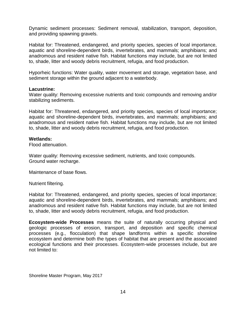Dynamic sediment processes: Sediment removal, stabilization, transport, deposition, and providing spawning gravels.

Habitat for: Threatened, endangered, and priority species, species of local importance, aquatic and shoreline-dependent birds, invertebrates, and mammals; amphibians; and anadromous and resident native fish. Habitat functions may include, but are not limited to, shade, litter and woody debris recruitment, refugia, and food production.

Hyporheic functions: Water quality, water movement and storage, vegetation base, and sediment storage within the ground adjacent to a waterbody.

#### **Lacustrine:**

Water quality: Removing excessive nutrients and toxic compounds and removing and/or stabilizing sediments.

Habitat for: Threatened, endangered, and priority species, species of local importance; aquatic and shoreline-dependent birds, invertebrates, and mammals; amphibians; and anadromous and resident native fish. Habitat functions may include, but are not limited to, shade, litter and woody debris recruitment, refugia, and food production.

#### **Wetlands:**

Flood attenuation.

Water quality: Removing excessive sediment, nutrients, and toxic compounds. Ground water recharge.

Maintenance of base flows.

Nutrient filtering.

Habitat for: Threatened, endangered, and priority species, species of local importance; aquatic and shoreline-dependent birds, invertebrates, and mammals; amphibians; and anadromous and resident native fish. Habitat functions may include, but are not limited to, shade, litter and woody debris recruitment, refugia, and food production.

**Ecosystem-wide Processes** means the suite of naturally occurring physical and geologic processes of erosion, transport, and deposition and specific chemical processes (e.g., flocculation) that shape landforms within a specific shoreline ecosystem and determine both the types of habitat that are present and the associated ecological functions and their processes. Ecosystem-wide processes include, but are not limited to: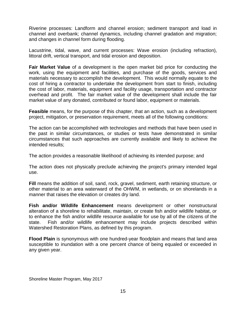Riverine processes: Landform and channel erosion; sediment transport and load in channel and overbank; channel dynamics, including channel gradation and migration; and changes in channel form during flooding.

Lacustrine, tidal, wave, and current processes: Wave erosion (including refraction), littoral drift, vertical transport, and tidal erosion and deposition.

**Fair Market Value** of a development is the open market bid price for conducting the work, using the equipment and facilities, and purchase of the goods, services and materials necessary to accomplish the development. This would normally equate to the cost of hiring a contractor to undertake the development from start to finish, including the cost of labor, materials, equipment and facility usage, transportation and contractor overhead and profit. The fair market value of the development shall include the fair market value of any donated, contributed or found labor, equipment or materials.

**Feasible** means, for the purpose of this chapter, that an action, such as a development project, mitigation, or preservation requirement, meets all of the following conditions:

The action can be accomplished with technologies and methods that have been used in the past in similar circumstances, or studies or tests have demonstrated in similar circumstances that such approaches are currently available and likely to achieve the intended results;

The action provides a reasonable likelihood of achieving its intended purpose; and

The action does not physically preclude achieving the project's primary intended legal use.

**Fill** means the addition of soil, sand, rock, gravel, sediment, earth retaining structure, or other material to an area waterward of the OHWM, in wetlands, or on shorelands in a manner that raises the elevation or creates dry land.

**Fish and/or Wildlife Enhancement** means development or other nonstructural alteration of a shoreline to rehabilitate, maintain, or create fish and/or wildlife habitat, or to enhance the fish and/or wildlife resource available for use by all of the citizens of the state. Fish and/or wildlife enhancement may include projects described within Watershed Restoration Plans, as defined by this program.

**Flood Plain** is synonymous with one hundred-year floodplain and means that land area susceptible to inundation with a one percent chance of being equaled or exceeded in any given year.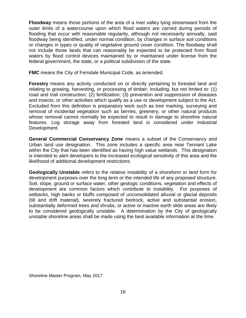**Floodway** means those portions of the area of a river valley lying streamward from the outer limits of a watercourse upon which flood waters are carried during periods of flooding that occur with reasonable regularity, although not necessarily annually, said floodway being identified, under normal condition, by changes in surface soil conditions or changes in types or quality of vegetative ground cover condition. The floodway shall not include those lands that can reasonably be expected to be protected from flood waters by flood control devices maintained by or maintained under license from the federal government, the state, or a political subdivision of the state.

**FMC** means the City of Ferndale Municipal Code, as amended.

**Forestry** means any activity conducted on or directly pertaining to forested land and relating to growing, harvesting, or processing of timber; including, but not limited to: (1) road and trail construction; (2) fertilization; (3) prevention and suppression of diseases and insects; or other activities which qualify as a use or development subject to the Act. Excluded from this definition is preparatory work such as tree marking, surveying and removal of incidental vegetation such as berries, greenery, or other natural products whose removal cannot normally be expected to result in damage to shoreline natural features. Log storage away from forested land is considered under Industrial Development.

**General Commercial Conservancy Zone** means a subset of the Conservancy and Urban land use designation. This zone includes a specific area near Tennant Lake within the City that has been identified as having high value wetlands. This designation is intended to alert developers to the increased ecological sensitivity of this area and the likelihood of additional development restrictions.

**Geologically Unstable** refers to the relative instability of a shoreform or land form for development purposes over the long term or the intended life of any proposed structure. Soil, slope, ground or surface water, other geologic conditions, vegetation and effects of development are common factors which contribute to instability. For purposes of setbacks, high banks or bluffs composed of unconsolidated alluvial or glacial deposits (till and drift material), severely fractured bedrock, active and substantial erosion, substantially deformed trees and shrubs, or active or inactive earth slide areas are likely to be considered geologically unstable. A determination by the City of geologically unstable shoreline areas shall be made using the best available information at the time.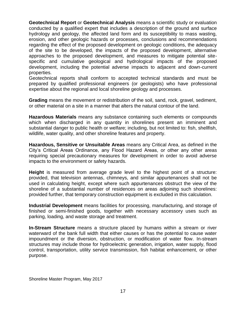**Geotechnical Report** or **Geotechnical Analysis** means a scientific study or evaluation conducted by a qualified expert that includes a description of the ground and surface hydrology and geology, the affected land form and its susceptibility to mass wasting, erosion, and other geologic hazards or processes, conclusions and recommendations regarding the effect of the proposed development on geologic conditions, the adequacy of the site to be developed, the impacts of the proposed development, alternative approaches to the proposed development, and measures to mitigate potential sitespecific and cumulative geological and hydrological impacts of the proposed development, including the potential adverse impacts to adjacent and down-current properties.

Geotechnical reports shall conform to accepted technical standards and must be prepared by qualified professional engineers (or geologists) who have professional expertise about the regional and local shoreline geology and processes.

**Grading** means the movement or redistribution of the soil, sand, rock, gravel, sediment, or other material on a site in a manner that alters the natural contour of the land.

**Hazardous Materials** means any substance containing such elements or compounds which when discharged in any quantity in shorelines present an imminent and substantial danger to public health or welfare; including, but not limited to: fish, shellfish, wildlife, water quality, and other shoreline features and property.

**Hazardous, Sensitive or Unsuitable Areas** means any Critical Area, as defined in the City's Critical Areas Ordinance, any Flood Hazard Areas, or other any other areas requiring special precautionary measures for development in order to avoid adverse impacts to the environment or safety hazards.

**Height** is measured from average grade level to the highest point of a structure: provided, that television antennas, chimneys, and similar appurtenances shall not be used in calculating height, except where such appurtenances obstruct the view of the shoreline of a substantial number of residences on areas adjoining such shorelines: provided further, that temporary construction equipment is excluded in this calculation.

**Industrial Development** means facilities for processing, manufacturing, and storage of finished or semi-finished goods, together with necessary accessory uses such as parking, loading, and waste storage and treatment.

**In-Stream Structure** means a structure placed by humans within a stream or river waterward of the bank full width that either causes or has the potential to cause water impoundment or the diversion, obstruction, or modification of water flow. In-stream structures may include those for hydroelectric generation, irrigation, water supply, flood control, transportation, utility service transmission, fish habitat enhancement, or other purpose.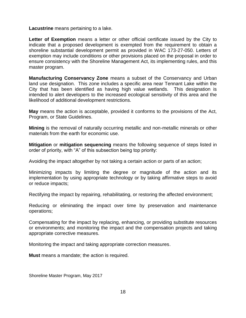**Lacustrine** means pertaining to a lake.

**Letter of Exemption** means a letter or other official certificate issued by the City to indicate that a proposed development is exempted from the requirement to obtain a shoreline substantial development permit as provided in WAC 173-27-050. Letters of exemption may include conditions or other provisions placed on the proposal in order to ensure consistency with the Shoreline Management Act, its implementing rules, and this master program.

**Manufacturing Conservancy Zone** means a subset of the Conservancy and Urban land use designation. This zone includes a specific area near Tennant Lake within the City that has been identified as having high value wetlands. This designation is intended to alert developers to the increased ecological sensitivity of this area and the likelihood of additional development restrictions.

**May** means the action is acceptable, provided it conforms to the provisions of the Act, Program, or State Guidelines.

**Mining** is the removal of naturally occurring metallic and non-metallic minerals or other materials from the earth for economic use.

**Mitigation** or **mitigation sequencing** means the following sequence of steps listed in order of priority, with "A" of this subsection being top priority:

Avoiding the impact altogether by not taking a certain action or parts of an action;

Minimizing impacts by limiting the degree or magnitude of the action and its implementation by using appropriate technology or by taking affirmative steps to avoid or reduce impacts;

Rectifying the impact by repairing, rehabilitating, or restoring the affected environment;

Reducing or eliminating the impact over time by preservation and maintenance operations;

Compensating for the impact by replacing, enhancing, or providing substitute resources or environments; and monitoring the impact and the compensation projects and taking appropriate corrective measures.

Monitoring the impact and taking appropriate correction measures.

**Must** means a mandate; the action is required.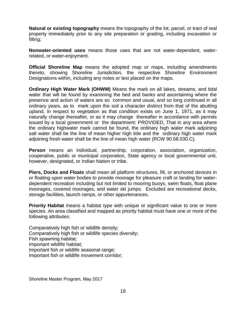**Natural or existing topography** means the topography of the lot, parcel, or tract of real property immediately prior to any site preparation or grading, including excavation or filling;

**Nonwater-oriented uses** means those uses that are not water-dependent, waterrelated, or water-enjoyment.

**Official Shoreline Map** means the adopted map or maps, including amendments thereto, showing Shoreline Jurisdiction, the respective Shoreline Environment Designations within, including any notes or text placed on the maps.

**Ordinary High Water Mark (OHWM)** Means the mark on all lakes, streams, and tidal water that will be found by examining the bed and banks and ascertaining where the presence and action of waters are so common and usual, and so long continued in all ordinary years, as to mark upon the soil a character distinct from that of the abutting upland, in respect to vegetation as that condition exists on June 1, 1971, as it may naturally change thereafter, or as it may change thereafter in accordance with permits issued by a local government or the department: PROVIDED, That in any area where the ordinary highwater mark cannot be found, the ordinary high water mark adjoining salt water shall be the line of mean higher high tide and the ordinary high water mark adjoining fresh water shall be the line of mean high water (RCW 90.58.030.C).

**Person** means an individual, partnership, corporation, association, organization, cooperative, public or municipal corporation, State agency or local governmental unit, however, designated, or Indian Nation or tribe.

**Piers, Docks and Floats** shall mean all platform structures, fill, or anchored devices in or floating upon water bodies to provide moorage for pleasure craft or landing for waterdependent recreation including but not limited to mooring buoys, swim floats, float plane moorages, covered moorages, and water ski jumps. Excluded are recreational decks, storage facilities, launch ramps, or other appurtenances.

**Priority Habitat** means a habitat type with unique or significant value to one or more species. An area classified and mapped as priority habitat must have one or more of the following attributes:

Comparatively high fish or wildlife density; Comparatively high fish or wildlife species diversity; Fish spawning habitat; Important wildlife habitat; Important fish or wildlife seasonal range; Important fish or wildlife movement corridor;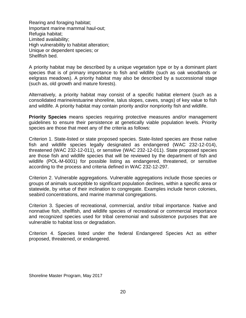Rearing and foraging habitat; Important marine mammal haul-out; Refugia habitat; Limited availability; High vulnerability to habitat alteration; Unique or dependent species; or Shellfish bed.

A priority habitat may be described by a unique vegetation type or by a dominant plant species that is of primary importance to fish and wildlife (such as oak woodlands or eelgrass meadows). A priority habitat may also be described by a successional stage (such as, old growth and mature forests).

Alternatively, a priority habitat may consist of a specific habitat element (such as a consolidated marine/estuarine shoreline, talus slopes, caves, snags) of key value to fish and wildlife. A priority habitat may contain priority and/or nonpriority fish and wildlife.

**Priority Species** means species requiring protective measures and/or management guidelines to ensure their persistence at genetically viable population levels. Priority species are those that meet any of the criteria as follows:

Criterion 1. State-listed or state proposed species. State-listed species are those native fish and wildlife species legally designated as endangered (WAC 232-12-014), threatened (WAC 232-12-011), or sensitive (WAC 232-12-011). State proposed species are those fish and wildlife species that will be reviewed by the department of fish and wildlife (POL-M-6001) for possible listing as endangered, threatened, or sensitive according to the process and criteria defined in WAC 232-12-297.

Criterion 2. Vulnerable aggregations. Vulnerable aggregations include those species or groups of animals susceptible to significant population declines, within a specific area or statewide, by virtue of their inclination to congregate. Examples include heron colonies, seabird concentrations, and marine mammal congregations.

Criterion 3. Species of recreational, commercial, and/or tribal importance. Native and nonnative fish, shellfish, and wildlife species of recreational or commercial importance and recognized species used for tribal ceremonial and subsistence purposes that are vulnerable to habitat loss or degradation.

Criterion 4. Species listed under the federal Endangered Species Act as either proposed, threatened, or endangered.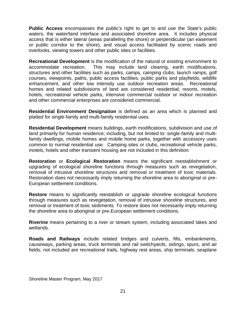**Public Access** encompasses the public's right to get to and use the State's public waters, the water/land interface and associated shoreline area. It includes physical access that is either lateral (areas paralleling the shore) or perpendicular (an easement or public corridor to the shore), and visual access facilitated by scenic roads and overlooks, viewing towers and other public sites or facilities.

**Recreational Development** is the modification of the natural or existing environment to accommodate recreation. This may include land clearing, earth modifications, structures and other facilities such as parks, camps, camping clubs, launch ramps, golf courses, viewpoints, paths, public access facilities, public parks and playfields, wildlife enhancement, and other low intensity use outdoor recreation areas. Recreational homes and related subdivisions of land are considered residential; resorts, motels, hotels, recreational vehicle parks, intensive commercial outdoor or indoor recreation and other commercial enterprises are considered commercial.

**Residential Environment Designation** is defined as an area which is planned and platted for single-family and multi-family residential uses.

**Residential Development** means buildings, earth modifications, subdivision and use of land primarily for human residence; including, but not limited to: single-family and multifamily dwellings, mobile homes and mobile home parks, together with accessory uses common to normal residential use. Camping sites or clubs, recreational vehicle parks, motels, hotels and other transient housing are not included in this definition.

**Restoration** or **Ecological Restoration** means the significant reestablishment or upgrading of ecological shoreline functions through measures such as revegetation, removal of intrusive shoreline structures and removal or treatment of toxic materials. Restoration does not necessarily imply returning the shoreline area to aboriginal or pre-European settlement conditions.

**Restore** means to significantly reestablish or upgrade shoreline ecological functions through measures such as revegetation, removal of intrusive shoreline structures, and removal or treatment of toxic sediments. To restore does not necessarily imply returning the shoreline area to aboriginal or pre-European settlement conditions.

**Riverine** means pertaining to a river or stream system, including associated lakes and wetlands.

**Roads and Railways** include related bridges and culverts, fills, embankments, causeways, parking areas, truck terminals and rail switchyards, sidings, spurs, and air fields; not included are recreational trails, highway rest areas, ship terminals, seaplane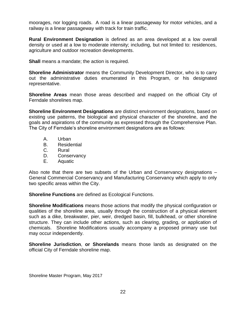moorages, nor logging roads. A road is a linear passageway for motor vehicles, and a railway is a linear passageway with track for train traffic.

**Rural Environment Designation** is defined as an area developed at a low overall density or used at a low to moderate intensity; including, but not limited to: residences, agriculture and outdoor recreation developments.

**Shall** means a mandate; the action is required.

**Shoreline Administrator** means the Community Development Director, who is to carry out the administrative duties enumerated in this Program, or his designated representative.

**Shoreline Areas** mean those areas described and mapped on the official City of Ferndale shorelines map.

**Shoreline Environment Designations** are distinct environment designations, based on existing use patterns, the biological and physical character of the shoreline, and the goals and aspirations of the community as expressed through the Comprehensive Plan. The City of Ferndale's shoreline environment designations are as follows:

- A. Urban
- B. Residential
- C. Rural
- D. Conservancy
- E. Aquatic

Also note that there are two subsets of the Urban and Conservancy designations – General Commercial Conservancy and Manufacturing Conservancy which apply to only two specific areas within the City.

**Shoreline Functions** are defined as Ecological Functions.

**Shoreline Modifications** means those actions that modify the physical configuration or qualities of the shoreline area, usually through the construction of a physical element such as a dike, breakwater, pier, weir, dredged basin, fill, bulkhead, or other shoreline structure. They can include other actions, such as clearing, grading, or application of chemicals. Shoreline Modifications usually accompany a proposed primary use but may occur independently.

**Shoreline Jurisdiction**, **or Shorelands** means those lands as designated on the official City of Ferndale shoreline map.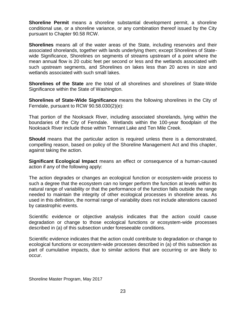**Shoreline Permit** means a shoreline substantial development permit, a shoreline conditional use, or a shoreline variance, or any combination thereof issued by the City pursuant to Chapter 90.58 RCW.

**Shorelines** means all of the water areas of the State, including reservoirs and their associated shorelands, together with lands underlying them; except Shorelines of Statewide Significance, Shorelines on segments of streams upstream of a point where the mean annual flow is 20 cubic feet per second or less and the wetlands associated with such upstream segments, and Shorelines on lakes less than 20 acres in size and wetlands associated with such small lakes.

**Shorelines of the State** are the total of all shorelines and shorelines of State-Wide Significance within the State of Washington.

**Shorelines of State-Wide Significance** means the following shorelines in the City of Ferndale, pursuant to RCW 90.58.030(2)(e):

That portion of the Nooksack River, including associated shorelands, lying within the boundaries of the City of Ferndale. Wetlands within the 100-year floodplain of the Nooksack River include those within Tennant Lake and Ten Mile Creek.

**Should** means that the particular action is required unless there is a demonstrated, compelling reason, based on policy of the Shoreline Management Act and this chapter, against taking the action.

**Significant Ecological Impact** means an effect or consequence of a human-caused action if any of the following apply:

The action degrades or changes an ecological function or ecosystem-wide process to such a degree that the ecosystem can no longer perform the function at levels within its natural range of variability or that the performance of the function falls outside the range needed to maintain the integrity of other ecological processes in shoreline areas. As used in this definition, the normal range of variability does not include alterations caused by catastrophic events.

Scientific evidence or objective analysis indicates that the action could cause degradation or change to those ecological functions or ecosystem-wide processes described in (a) of this subsection under foreseeable conditions.

Scientific evidence indicates that the action could contribute to degradation or change to ecological functions or ecosystem-wide processes described in (a) of this subsection as part of cumulative impacts, due to similar actions that are occurring or are likely to occur.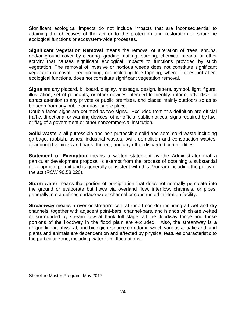Significant ecological impacts do not include impacts that are inconsequential to attaining the objectives of the act or to the protection and restoration of shoreline ecological functions or ecosystem-wide processes.

**Significant Vegetation Removal** means the removal or alteration of trees, shrubs, and/or ground cover by clearing, grading, cutting, burning, chemical means, or other activity that causes significant ecological impacts to functions provided by such vegetation. The removal of invasive or noxious weeds does not constitute significant vegetation removal. Tree pruning, not including tree topping, where it does not affect ecological functions, does not constitute significant vegetation removal.

**Signs** are any placard, billboard, display, message, design, letters, symbol, light, figure, illustration, set of pennants, or other devices intended to identify, inform, advertise, or attract attention to any private or public premises, and placed mainly outdoors so as to be seen from any public or quasi-public place.

Double-faced signs are counted as two signs. Excluded from this definition are official traffic, directional or warning devices, other official public notices, signs required by law, or flag of a government or other noncommercial institution.

**Solid Waste** is all putrescible and non-putrescible solid and semi-solid waste including garbage, rubbish, ashes, industrial wastes, swill, demolition and construction wastes, abandoned vehicles and parts, thereof, and any other discarded commodities.

**Statement of Exemption** means a written statement by the Administrator that a particular development proposal is exempt from the process of obtaining a substantial development permit and is generally consistent with this Program including the policy of the act (RCW 90.58.020).

**Storm water** means that portion of precipitation that does not normally percolate into the ground or evaporate but flows via overland flow, interflow, channels, or pipes, generally into a defined surface water channel or constructed infiltration facility.

**Streamway** means a river or stream's central runoff corridor including all wet and dry channels, together with adjacent point-bars, channel-bars, and islands which are wetted or surrounded by stream flow at bank full stage; all the floodway fringe and those portions of the floodway in the flood plain are excluded. Also, the streamway is a unique linear, physical, and biologic resource corridor in which various aquatic and land plants and animals are dependent on and affected by physical features characteristic to the particular zone, including water level fluctuations.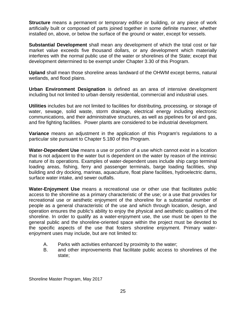**Structure** means a permanent or temporary edifice or building, or any piece of work artificially built or composed of parts joined together in some definite manner, whether installed on, above, or below the surface of the ground or water, except for vessels.

**Substantial Development** shall mean any development of which the total cost or fair market value exceeds five thousand dollars, or any development which materially interferes with the normal public use of the water or shorelines of the State; except that development determined to be exempt under Chapter 3.30 of this Program.

**Upland** shall mean those shoreline areas landward of the OHWM except berms, natural wetlands, and flood plains.

**Urban Environment Designation** is defined as an area of intensive development including but not limited to urban density residential, commercial and industrial uses.

**Utilities** includes but are not limited to facilities for distributing, processing, or storage of water, sewage, solid waste, storm drainage, electrical energy including electronic communications, and their administrative structures, as well as pipelines for oil and gas, and fire fighting facilities. Power plants are considered to be industrial development.

**Variance** means an adjustment in the application of this Program's regulations to a particular site pursuant to Chapter 5.180 of this Program.

**Water-Dependent Use** means a use or portion of a use which cannot exist in a location that is not adjacent to the water but is dependent on the water by reason of the intrinsic nature of its operations. Examples of water-dependent uses include ship cargo terminal loading areas, fishing, ferry and passenger terminals, barge loading facilities, ship building and dry docking, marinas, aquaculture, float plane facilities, hydroelectric dams, surface water intake, and sewer outfalls.

**Water-Enjoyment Use** means a recreational use or other use that facilitates public access to the shoreline as a primary characteristic of the use; or a use that provides for recreational use or aesthetic enjoyment of the shoreline for a substantial number of people as a general characteristic of the use and which through location, design, and operation ensures the public's ability to enjoy the physical and aesthetic qualities of the shoreline. In order to qualify as a water-enjoyment use, the use must be open to the general public and the shoreline-oriented space within the project must be devoted to the specific aspects of the use that fosters shoreline enjoyment. Primary waterenjoyment uses may include, but are not limited to:

- A. Parks with activities enhanced by proximity to the water;
- B. and other improvements that facilitate public access to shorelines of the state;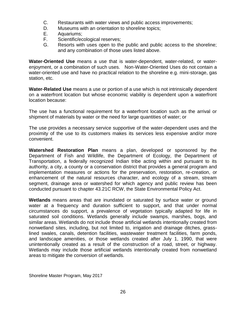- C. Restaurants with water views and public access improvements;
- D. Museums with an orientation to shoreline topics;
- E. Aquariums;
- F. Scientific/ecological reserves;
- G. Resorts with uses open to the public and public access to the shoreline; and any combination of those uses listed above.

**Water-Oriented Use** means a use that is water-dependent, water-related, or waterenjoyment, or a combination of such uses. Non-Water-Oriented Uses do not contain a water-oriented use and have no practical relation to the shoreline e.g. mini-storage, gas station, etc.

**Water-Related Use** means a use or portion of a use which is not intrinsically dependent on a waterfront location but whose economic viability is dependent upon a waterfront location because:

The use has a functional requirement for a waterfront location such as the arrival or shipment of materials by water or the need for large quantities of water; or

The use provides a necessary service supportive of the water-dependent uses and the proximity of the use to its customers makes its services less expensive and/or more convenient.

**Watershed Restoration Plan** means a plan, developed or sponsored by the Department of Fish and Wildlife, the Department of Ecology, the Department of Transportation, a federally recognized Indian tribe acting within and pursuant to its authority, a city, a county or a conservation district that provides a general program and implementation measures or actions for the preservation, restoration, re-creation, or enhancement of the natural resources character, and ecology of a stream, stream segment, drainage area or watershed for which agency and public review has been conducted pursuant to chapter 43.21C RCW, the State Environmental Policy Act.

**Wetlands** means areas that are inundated or saturated by surface water or ground water at a frequency and duration sufficient to support, and that under normal circumstances do support, a prevalence of vegetation typically adapted for life in saturated soil conditions. Wetlands generally include swamps, marshes, bogs, and similar areas. Wetlands do not include those artificial wetlands intentionally created from nonwetland sites, including, but not limited to, irrigation and drainage ditches, grasslined swales, canals, detention facilities, wastewater treatment facilities, farm ponds, and landscape amenities, or those wetlands created after July 1, 1990, that were unintentionally created as a result of the construction of a road, street, or highway. Wetlands may include those artificial wetlands intentionally created from nonwetland areas to mitigate the conversion of wetlands.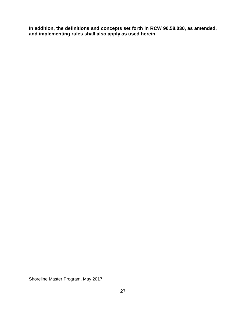**In addition, the definitions and concepts set forth in RCW 90.58.030, as amended, and implementing rules shall also apply as used herein.**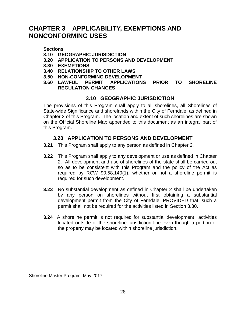# <span id="page-27-0"></span>**CHAPTER 3 APPLICABILITY, EXEMPTIONS AND NONCONFORMING USES**

#### **Sections**

- **3.10 GEOGRAPHIC JURISDICTION**
- **3.20 APPLICATION TO PERSONS AND DEVELOPMENT**
- **3.30 EXEMPTIONS**
- **3.40 RELATIONSHIP TO OTHER LAWS**
- **3.50 NON-CONFORMING DEVELOPMENT**
- **3.60 LAWFUL PERMIT APPLICATIONS PRIOR TO SHORELINE REGULATION CHANGES**

## <span id="page-27-1"></span>**3.10 GEOGRAPHIC JURISDICTION**

The provisions of this Program shall apply to all shorelines, all Shorelines of State-wide Significance and shorelands within the City of Ferndale, as defined in Chapter 2 of this Program. The location and extent of such shorelines are shown on the Official Shoreline Map appended to this document as an integral part of this Program.

## **3.20 APPLICATION TO PERSONS AND DEVELOPMENT**

- <span id="page-27-2"></span>**3.21** This Program shall apply to any person as defined in Chapter 2.
- **3.22** This Program shall apply to any development or use as defined in Chapter 2. All development and use of shorelines of the state shall be carried out so as to be consistent with this Program and the policy of the Act as required by RCW 90.58.140(1), whether or not a shoreline permit is required for such development.
- **3.23** No substantial development as defined in Chapter 2 shall be undertaken by any person on shorelines without first obtaining a substantial development permit from the City of Ferndale; PROVIDED that, such a permit shall not be required for the activities listed in Section 3.30.
- **3.24** A shoreline permit is not required for substantial development activities located outside of the shoreline jurisdiction line even though a portion of the property may be located within shoreline jurisdiction.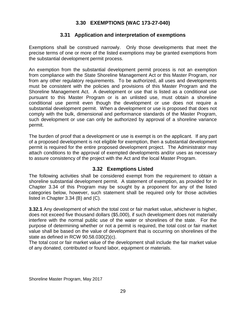## **3.30 EXEMPTIONS (WAC 173-27-040)**

## **3.31 Application and interpretation of exemptions**

<span id="page-28-1"></span><span id="page-28-0"></span>Exemptions shall be construed narrowly. Only those developments that meet the precise terms of one or more of the listed exemptions may be granted exemptions from the substantial development permit process.

An exemption from the substantial development permit process is not an exemption from compliance with the State Shoreline Management Act or this Master Program, nor from any other regulatory requirements. To be authorized, all uses and developments must be consistent with the policies and provisions of this Master Program and the Shoreline Management Act. A development or use that is listed as a conditional use pursuant to this Master Program or is an unlisted use, must obtain a shoreline conditional use permit even though the development or use does not require a substantial development permit. When a development or use is proposed that does not comply with the bulk, dimensional and performance standards of the Master Program, such development or use can only be authorized by approval of a shoreline variance permit.

The burden of proof that a development or use is exempt is on the applicant. If any part of a proposed development is not eligible for exemption, then a substantial development permit is required for the entire proposed development project. The Administrator may attach conditions to the approval of exempted developments and/or uses as necessary to assure consistency of the project with the Act and the local Master Program.

### **3.32 Exemptions Listed**

<span id="page-28-2"></span>The following activities shall be considered exempt from the requirement to obtain a shoreline substantial development permit. A statement of exemption, as provided for in Chapter 3.34 of this Program may be sought by a proponent for any of the listed categories below, however, such statement shall be required only for those activities listed in Chapter 3.34 (B) and (C).

**3.32.1** Any development of which the total cost or fair market value, whichever is higher, does not exceed five thousand dollars (\$5,000), if such development does not materially interfere with the normal public use of the water or shorelines of the state. For the purpose of determining whether or not a permit is required, the total cost or fair market value shall be based on the value of development that is occurring on shorelines of the state as defined in RCW 90.58.030(2)(c).

The total cost or fair market value of the development shall include the fair market value of any donated, contributed or found labor, equipment or materials.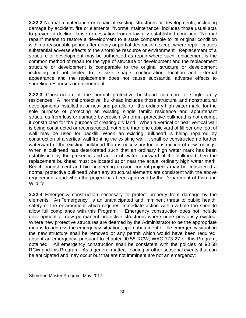**3.32.2** Normal maintenance or repair of existing structures or developments, including damage by accident, fire or elements. "Normal maintenance" includes those usual acts to prevent a decline, lapse or cessation from a lawfully established condition. "Normal repair" means to restore a development to a state comparable to its original condition within a reasonable period after decay or partial destruction except where repair causes substantial adverse effects to the shoreline resource or environment. Replacement of a structure or development may be authorized as repair where such replacement is the common method of repair for the type of structure or development and the replacement structure or development is comparable to the original structure or development including but not limited to its size, shape, configuration, location and external appearance and the replacement does not cause substantial adverse effects to shoreline resources or environment.

**3.32.3** Construction of the normal protective bulkhead common to single-family residences. A "normal protective" bulkhead includes those structural and nonstructural developments installed at or near and parallel to, the ordinary high water mark for the sole purpose of protecting an existing single family residence and appurtenant structures from loss or damage by erosion. A normal protective bulkhead is not exempt if constructed for the purpose of creating dry land. When a vertical or near vertical wall is being constructed or reconstructed, not more than one cubic yard of fill per one foot of wall may be used for backfill. When an existing bulkhead is being repaired by construction of a vertical wall fronting the existing wall, it shall be constructed no further waterward of the existing bulkhead than is necessary for construction of new footings. When a bulkhead has deteriorated such that an ordinary high water mark has been established by the presence and action of water landward of the bulkhead then the replacement bulkhead must be located at or near the actual ordinary high water mark. Beach nourishment and bioengineering erosion control projects may be considered a normal protective bulkhead when any structural elements are consistent with the above requirements and when the project has been approved by the Department of Fish and Wildlife.

**3.32.4** Emergency construction necessary to protect property from damage by the elements. An "emergency" is an unanticipated and imminent threat to public health, safety or the environment which requires immediate action within a time too short to allow full compliance with this Program. Emergency construction does not include development of new permanent protective structures where none previously existed. Where new protective structures are deemed by the Administrator to be the appropriate means to address the emergency situation, upon abatement of the emergency situation the new structure shall be removed or any permit which would have been required, absent an emergency, pursuant to chapter 90.58 RCW, WAC 173-27 or this Program, obtained. All emergency construction shall be consistent with the policies of 90.58 RCW and this Program. As a general matter, flooding or other seasonal events that can be anticipated and may occur but that are not imminent are not an emergency;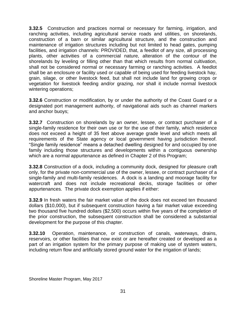**3.32.5** Construction and practices normal or necessary for farming, irrigation, and ranching activities, including agricultural service roads and utilities, on shorelands, construction of a barn or similar agricultural structure, and the construction and maintenance of irrigation structures including but not limited to head gates, pumping facilities, and irrigation channels: PROVIDED, that, a feedlot of any size, all processing plants, other activities of a commercial nature, alteration of the contour of the shorelands by leveling or filling other than that which results from normal cultivation, shall not be considered normal or necessary farming or ranching activities. A feedlot shall be an enclosure or facility used or capable of being used for feeding livestock hay, grain, silage, or other livestock feed, but shall not include land for growing crops or vegetation for livestock feeding and/or grazing, nor shall it include normal livestock wintering operations;

**3.32.6** Construction or modification, by or under the authority of the Coast Guard or a designated port management authority, of navigational aids such as channel markers and anchor buoys;

**3.32.7** Construction on shorelands by an owner, lessee, or contract purchaser of a single-family residence for their own use or for the use of their family, which residence does not exceed a height of 35 feet above average grade level and which meets all requirements of the State agency or local government having jurisdiction thereof. "Single family residence" means a detached dwelling designed for and occupied by one family including those structures and developments within a contiguous ownership which are a normal appurtenance as defined in Chapter 2 of this Program;

**3.32.8** Construction of a dock, including a community dock, designed for pleasure craft only, for the private non-commercial use of the owner, lessee, or contract purchaser of a single-family and multi-family residences. A dock is a landing and moorage facility for watercraft and does not include recreational decks, storage facilities or other appurtenances. The private dock exemption applies if either:

**3.32.9** In fresh waters the fair market value of the dock does not exceed ten thousand dollars (\$10,000), but if subsequent construction having a fair market value exceeding two thousand five hundred dollars (\$2,500) occurs within five years of the completion of the prior construction, the subsequent construction shall be considered a substantial development for the purpose of this chapter.

**3.32.10** Operation, maintenance, or construction of canals, waterways, drains, reservoirs, or other facilities that now exist or are hereafter created or developed as a part of an irrigation system for the primary purpose of making use of system waters, including return flow and artificially stored ground water for the irrigation of lands;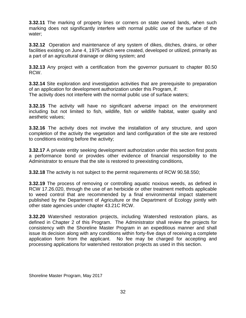**3.32.11** The marking of property lines or corners on state owned lands, when such marking does not significantly interfere with normal public use of the surface of the water;

**3.32.12** Operation and maintenance of any system of dikes, ditches, drains, or other facilities existing on June 4, 1975 which were created, developed or utilized, primarily as a part of an agricultural drainage or diking system; and

**3.32.13** Any project with a certification from the governor pursuant to chapter 80.50 RCW.

**3.32.14** Site exploration and investigation activities that are prerequisite to preparation of an application for development authorization under this Program, if: The activity does not interfere with the normal public use of surface waters;

**3.32.15** The activity will have no significant adverse impact on the environment including but not limited to fish, wildlife, fish or wildlife habitat, water quality and aesthetic values;

**3.32.16** The activity does not involve the installation of any structure, and upon completion of the activity the vegetation and land configuration of the site are restored to conditions existing before the activity;

**3.32.17** A private entity seeking development authorization under this section first posts a performance bond or provides other evidence of financial responsibility to the Administrator to ensure that the site is restored to preexisting conditions,

**3.32.18** The activity is not subject to the permit requirements of RCW 90.58.550;

**3.32.19** The process of removing or controlling aquatic noxious weeds, as defined in RCW 17.26.020, through the use of an herbicide or other treatment methods applicable to weed control that are recommended by a final environmental impact statement published by the Department of Agriculture or the Department of Ecology jointly with other state agencies under chapter 43.21C RCW.

**3.32.20** Watershed restoration projects, including Watershed restoration plans, as defined in Chapter 2 of this Program. The Administrator shall review the projects for consistency with the Shoreline Master Program in an expeditious manner and shall issue its decision along with any conditions within forty-five days of receiving a complete application form from the applicant. No fee may be charged for accepting and processing applications for watershed restoration projects as used in this section.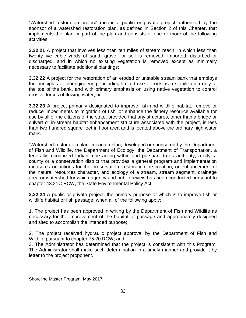"Watershed restoration project" means a public or private project authorized by the sponsor of a watershed restoration plan, as defined in Section 2 of this Chapter, that implements the plan or part of the plan and consists of one or more of the following activities:

**3.32.21** A project that involves less than ten miles of stream reach, in which less than twenty-five cubic yards of sand, gravel, or soil is removed, imported, disturbed or discharged, and in which no existing vegetation is removed except as minimally necessary to facilitate additional plantings;

**3.32.22** A project for the restoration of an eroded or unstable stream bank that employs the principles of bioengineering, including limited use of rock as a stabilization only at the toe of the bank, and with primary emphasis on using native vegetation to control erosive forces of flowing water; or

**3.32.23** A project primarily designated to improve fish and wildlife habitat, remove or reduce impediments to migration of fish, or enhance the fishery resource available for use by all of the citizens of the state, provided that any structures, other than a bridge or culvert or in-stream habitat enhancement structure associated with the project, is less than two hundred square feet in floor area and is located above the ordinary high water mark.

"Watershed restoration plan" means a plan, developed or sponsored by the Department of Fish and Wildlife, the Department of Ecology, the Department of Transportation, a federally recognized Indian tribe acting within and pursuant to its authority, a city, a county or a conservation district that provides a general program and implementation measures or actions for the preservation, restoration, re-creation, or enhancement of the natural resources character, and ecology of a stream, stream segment, drainage area or watershed for which agency and public review has been conducted pursuant to chapter 43.21C RCW, the State Environmental Policy Act.

**3.32.24** A public or private project, the primary purpose of which is to improve fish or wildlife habitat or fish passage, when all of the following apply:

1. The project has been approved in writing by the Department of Fish and Wildlife as necessary for the improvement of the habitat or passage and appropriately designed and sited to accomplish the intended purpose;

2. The project received hydraulic project approval by the Department of Fish and Wildlife pursuant to chapter 75.20 RCW, and

3. The Administrator has determined that the project is consistent with this Program. The Administrator shall make such determination in a timely manner and provide it by letter to the project proponent.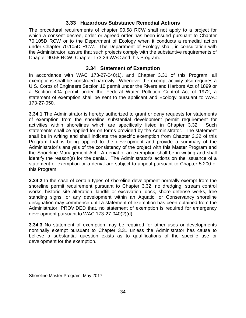### **3.33 Hazardous Substance Remedial Actions**

<span id="page-33-0"></span>The procedural requirements of chapter 90.58 RCW shall not apply to a project for which a consent decree, order or agreed order has been issued pursuant to Chapter 70.105D RCW or to the Department of Ecology when it conducts a remedial action under Chapter 70.105D RCW. The Department of Ecology shall, in consultation with the Administrator, assure that such projects comply with the substantive requirements of Chapter 90.58 RCW, Chapter 173.26 WAC and this Program.

### **3.34 Statement of Exemption**

<span id="page-33-1"></span>In accordance with WAC 173-27-040(1), and Chapter 3.31 of this Program, all exemptions shall be construed narrowly. Whenever the exempt activity also requires a U.S. Corps of Engineers Section 10 permit under the Rivers and Harbors Act of 1899 or a Section 404 permit under the Federal Water Pollution Control Act of 1972, a statement of exemption shall be sent to the applicant and Ecology pursuant to WAC 173-27-050.

**3.34.1** The Administrator is hereby authorized to grant or deny requests for statements of exemption from the shoreline substantial development permit requirement for activities within shorelines which are specifically listed in Chapter 3.32. Such statements shall be applied for on forms provided by the Administrator. The statement shall be in writing and shall indicate the specific exemption from Chapter 3.32 of this Program that is being applied to the development and provide a summary of the Administrator's analysis of the consistency of the project with this Master Program and the Shoreline Management Act. A denial of an exemption shall be in writing and shall identify the reason(s) for the denial. The Administrator's actions on the issuance of a statement of exemption or a denial are subject to appeal pursuant to Chapter 5.200 of this Program.

**3.34.2** In the case of certain types of shoreline development normally exempt from the shoreline permit requirement pursuant to Chapter 3.32, no dredging, stream control works, historic site alteration, landfill or excavation, dock, shore defense works, free standing signs, or any development within an Aquatic, or Conservancy shoreline designation may commence until a statement of exemption has been obtained from the Administrator; PROVIDED that, no statement of exemption is required for emergency development pursuant to WAC 173-27-040(2)(d).

**3.34.3** No statement of exemption may be required for other uses or developments nominally exempt pursuant to Chapter 3.31 unless the Administrator has cause to believe a substantial question exists as to qualifications of the specific use or development for the exemption.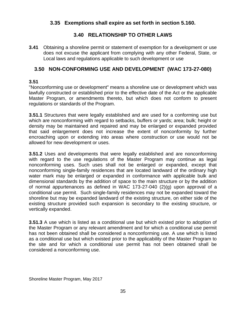## <span id="page-34-0"></span>**3.35 Exemptions shall expire as set forth in section 5.160.**

# **3.40 RELATIONSHIP TO OTHER LAWS**

<span id="page-34-1"></span>**3.41** Obtaining a shoreline permit or statement of exemption for a development or use does not excuse the applicant from complying with any other Federal, State, or Local laws and regulations applicable to such development or use

### <span id="page-34-2"></span>**3.50 NON-CONFORMING USE AND DEVELOPMENT (WAC 173-27-080)**

### **3.51**

"Nonconforming use or development" means a shoreline use or development which was lawfully constructed or established prior to the effective date of the Act or the applicable Master Program, or amendments thereto, but which does not conform to present regulations or standards of the Program.

**3.51.1** Structures that were legally established and are used for a conforming use but which are nonconforming with regard to setbacks, buffers or yards; area; bulk; height or density may be maintained and repaired and may be enlarged or expanded provided that said enlargement does not increase the extent of nonconformity by further encroaching upon or extending into areas where construction or use would not be allowed for new development or uses.

**3.51.2** Uses and developments that were legally established and are nonconforming with regard to the use regulations of the Master Program may continue as legal nonconforming uses. Such uses shall not be enlarged or expanded, except that nonconforming single-family residences that are located landward of the ordinary high water mark may be enlarged or expanded in conformance with applicable bulk and dimensional standards by the addition of space to the main structure or by the addition of normal appurtenances as defined in WAC 173-27-040 (2)(g) upon approval of a conditional use permit. Such single-family residences may not be expanded toward the shoreline but may be expanded landward of the existing structure, on either side of the existing structure provided such expansion is secondary to the existing structure, or vertically expanded.

**3.51.3** A use which is listed as a conditional use but which existed prior to adoption of the Master Program or any relevant amendment and for which a conditional use permit has not been obtained shall be considered a nonconforming use. A use which is listed as a conditional use but which existed prior to the applicability of the Master Program to the site and for which a conditional use permit has not been obtained shall be considered a nonconforming use.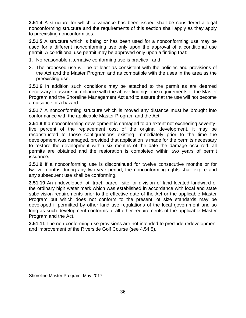**3.51.4** A structure for which a variance has been issued shall be considered a legal nonconforming structure and the requirements of this section shall apply as they apply to preexisting nonconformities.

**3.51.5** A structure which is being or has been used for a nonconforming use may be used for a different nonconforming use only upon the approval of a conditional use permit. A conditional use permit may be approved only upon a finding that:

- 1. No reasonable alternative conforming use is practical; and
- 2. The proposed use will be at least as consistent with the policies and provisions of the Act and the Master Program and as compatible with the uses in the area as the preexisting use.

**3.51.6** In addition such conditions may be attached to the permit as are deemed necessary to assure compliance with the above findings, the requirements of the Master Program and the Shoreline Management Act and to assure that the use will not become a nuisance or a hazard.

**3.51.7** A nonconforming structure which is moved any distance must be brought into conformance with the applicable Master Program and the Act.

**3.51.8** If a nonconforming development is damaged to an extent not exceeding seventyfive percent of the replacement cost of the original development, it may be reconstructed to those configurations existing immediately prior to the time the development was damaged, provided that application is made for the permits necessary to restore the development within six months of the date the damage occurred, all permits are obtained and the restoration is completed within two years of permit issuance.

**3.51.9** If a nonconforming use is discontinued for twelve consecutive months or for twelve months during any two-year period, the nonconforming rights shall expire and any subsequent use shall be conforming.

**3.51.10** An undeveloped lot, tract, parcel, site, or division of land located landward of the ordinary high water mark which was established in accordance with local and state subdivision requirements prior to the effective date of the Act or the applicable Master Program but which does not conform to the present lot size standards may be developed if permitted by other land use regulations of the local government and so long as such development conforms to all other requirements of the applicable Master Program and the Act.

**3.51.11** The non-conforming use provisions are not intended to preclude redevelopment and improvement of the Riverside Golf Course (see 4.54.5).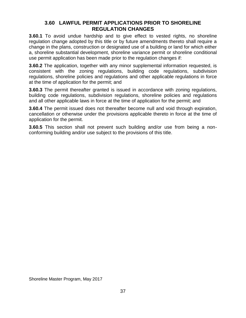## **3.60 LAWFUL PERMIT APPLICATIONS PRIOR TO SHORELINE REGULATION CHANGES**

**3.60.1** To avoid undue hardship and to give effect to vested rights, no shoreline regulation change adopted by this title or by future amendments thereto shall require a change in the plans, construction or designated use of a building or land for which either a, shoreline substantial development, shoreline variance permit or shoreline conditional use permit application has been made prior to the regulation changes if:

**3.60.2** The application, together with any minor supplemental information requested, is consistent with the zoning regulations, building code regulations, subdivision regulations, shoreline policies and regulations and other applicable regulations in force at the time of application for the permit; and

**3.60.3** The permit thereafter granted is issued in accordance with zoning regulations, building code regulations, subdivision regulations, shoreline policies and regulations and all other applicable laws in force at the time of application for the permit; and

**3.60.4** The permit issued does not thereafter become null and void through expiration, cancellation or otherwise under the provisions applicable thereto in force at the time of application for the permit.

**3.60.5** This section shall not prevent such building and/or use from being a nonconforming building and/or use subject to the provisions of this title.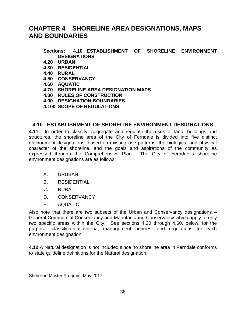# **CHAPTER 4 SHORELINE AREA DESIGNATIONS, MAPS AND BOUNDARIES**

#### **Sections: 4.10 ESTABLISHMENT OF SHORELINE ENVIRONMENT DESIGNATIONS**

- **4.20 URBAN**
- **4.30 RESIDENTIAL**
- **4.40 RURAL**
- **4.50 CONSERVANCY**
- **4.60 AQUATIC**
- **4.70 SHORELINE AREA DESIGNATION MAPS**
- **4.80 RULES OF CONSTRUCTION**
- **4.90 DESIGNATION BOUNDARIES**
- **4.100 SCOPE OF REGULATIONS**

#### **4.10 ESTABLISHMENT OF SHORELINE ENVIRONMENT DESIGNATIONS**

**4.11.** In order to classify, segregate and regulate the uses of land, buildings and structures, the shoreline area of the City of Ferndale is divided into five distinct environment designations, based on existing use patterns, the biological and physical character of the shoreline, and the goals and aspirations of the community as expressed through the Comprehensive Plan. The City of Ferndale's shoreline environment designations are as follows:

- A. URUBAN
- B. RESIDENTIAL
- C. RURAL
- D. CONSERVANCY
- E. AQUATIC

Also note that there are two subsets of the Urban and Conservancy designations – General Commercial Conservancy and Manufacturing Conservancy which apply to only two specific areas within the City. See sections 4.20 through 4.60, below, for the purpose, classification criteria, management policies, and regulations for each environment designation.

**4.12** A Natural designation is not included since no shoreline area in Ferndale conforms to state guideline definitions for the Natural designation.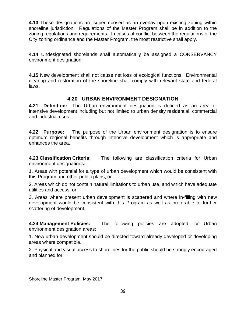**4.13** These designations are superimposed as an overlay upon existing zoning within shoreline jurisdiction. Regulations of the Master Program shall be in addition to the zoning regulations and requirements. In cases of conflict between the regulations of the City zoning ordinance and the Master Program, the most restrictive shall apply.

**4.14** Undesignated shorelands shall automatically be assigned a CONSERVANCY environment designation.

**4.15** New development shall not cause net loss of ecological functions. Environmental cleanup and restoration of the shoreline shall comply with relevant state and federal laws.

# **4.20 URBAN ENVIRONMENT DESIGNATION**

**4.21 Definition:** The Urban environment designation is defined as an area of intensive development including but not limited to urban density residential, commercial and industrial uses.

**4.22 Purpose:** The purpose of the Urban environment designation is to ensure optimum regional benefits through intensive development which is appropriate and enhances the area.

**4.23 Classification Criteria:** The following are classification criteria for Urban environment designations:

1. Areas with potential for a type of urban development which would be consistent with this Program and other public plans; or

2. Areas which do not contain natural limitations to urban use, and which have adequate utilities and access; or

3. Areas where present urban development is scattered and where in-filling with new development would be consistent with this Program as well as preferable to further scattering of development.

**4.24 Management Policies:** The following policies are adopted for Urban environment designation areas:

1. New urban development should be directed toward already developed or developing areas where compatible.

2. Physical and visual access to shorelines for the public should be strongly encouraged and planned for.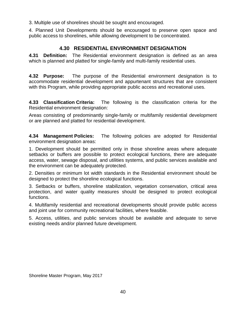3. Multiple use of shorelines should be sought and encouraged.

4. Planned Unit Developments should be encouraged to preserve open space and public access to shorelines, while allowing development to be concentrated.

# **4.30 RESIDENTIAL ENVIRONMENT DESIGNATION**

**4.31 Definition:** The Residential environment designation is defined as an area which is planned and platted for single-family and multi-family residential uses.

**4.32 Purpose:** The purpose of the Residential environment designation is to accommodate residential development and appurtenant structures that are consistent with this Program, while providing appropriate public access and recreational uses.

**4.33 Classification Criteria:** The following is the classification criteria for the Residential environment designation:

Areas consisting of predominantly single-family or multifamily residential development or are planned and platted for residential development.

**4.34 Management Policies:** The following policies are adopted for Residential environment designation areas:

1. Development should be permitted only in those shoreline areas where adequate setbacks or buffers are possible to protect ecological functions, there are adequate access, water, sewage disposal, and utilities systems, and public services available and the environment can be adequately protected.

2. Densities or minimum lot width standards in the Residential environment should be designed to protect the shoreline ecological functions.

3. Setbacks or buffers, shoreline stabilization, vegetation conservation, critical area protection, and water quality measures should be designed to protect ecological functions.

4. Multifamily residential and recreational developments should provide public access and joint use for community recreational facilities, where feasible.

5. Access, utilities, and public services should be available and adequate to serve existing needs and/or planned future development.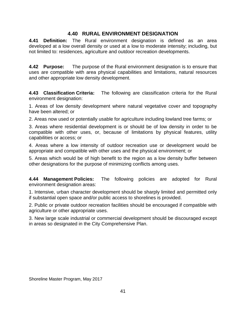# **4.40 RURAL ENVIRONMENT DESIGNATION**

**4.41 Definition:** The Rural environment designation is defined as an area developed at a low overall density or used at a low to moderate intensity; including, but not limited to: residences, agriculture and outdoor recreation developments.

**4.42 Purpose:** The purpose of the Rural environment designation is to ensure that uses are compatible with area physical capabilities and limitations, natural resources and other appropriate low density development.

**4.43 Classification Criteria:** The following are classification criteria for the Rural environment designation:

1. Areas of low density development where natural vegetative cover and topography have been altered; or

2. Areas now used or potentially usable for agriculture including lowland tree farms; or

3. Areas where residential development is or should be of low density in order to be compatible with other uses, or, because of limitations by physical features, utility capabilities or access; or

4. Areas where a low intensity of outdoor recreation use or development would be appropriate and compatible with other uses and the physical environment; or

5. Areas which would be of high benefit to the region as a low density buffer between other designations for the purpose of minimizing conflicts among uses.

**4.44 Management Policies:** The following policies are adopted for Rural environment designation areas:

1. Intensive, urban character development should be sharply limited and permitted only if substantial open space and/or public access to shorelines is provided.

2. Public or private outdoor recreation facilities should be encouraged if compatible with agriculture or other appropriate uses.

3. New large scale industrial or commercial development should be discouraged except in areas so designated in the City Comprehensive Plan.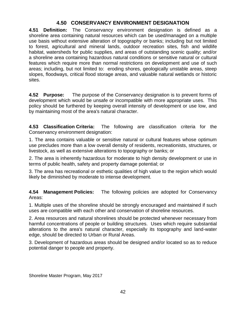# **4.50 CONSERVANCY ENVIRONMENT DESIGNATION**

**4.51 Definition:** The Conservancy environment designation is defined as a shoreline area containing natural resources which can be used/managed on a multiple use basis without extensive alteration of topography or banks; including but not limited to forest, agricultural and mineral lands, outdoor recreation sites, fish and wildlife habitat, watersheds for public supplies, and areas of outstanding scenic quality; and/or a shoreline area containing hazardous natural conditions or sensitive natural or cultural features which require more than normal restrictions on development and use of such areas; including, but not limited to: eroding shores, geologically unstable areas, steep slopes, floodways, critical flood storage areas, and valuable natural wetlands or historic sites.

**4.52 Purpose:** The purpose of the Conservancy designation is to prevent forms of development which would be unsafe or incompatible with more appropriate uses. This policy should be furthered by keeping overall intensity of development or use low, and by maintaining most of the area's natural character.

**4.53 Classification Criteria:** The following are classification criteria for the Conservancy environment designation:

1. The area contains valuable or sensitive natural or cultural features whose optimum use precludes more than a low overall density of residents, recreationists, structures, or livestock, as well as extensive alterations to topography or banks; or

2. The area is inherently hazardous for moderate to high density development or use in terms of public health, safety and property damage potential; or

3. The area has recreational or esthetic qualities of high value to the region which would likely be diminished by moderate to intense development.

**4.54 Management Policies:** The following policies are adopted for Conservancy Areas:

1. Multiple uses of the shoreline should be strongly encouraged and maintained if such uses are compatible with each other and conservation of shoreline resources.

2. Area resources and natural shorelines should be protected whenever necessary from harmful concentrations of people or building structures. Uses which require substantial alterations to the area's natural character, especially its topography and land-water edge, should be directed to Urban or Rural Areas.

3. Development of hazardous areas should be designed and/or located so as to reduce potential danger to people and property.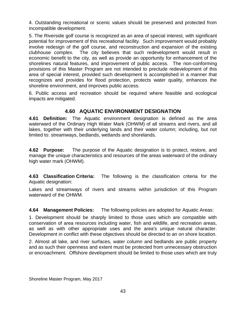4. Outstanding recreational or scenic values should be preserved and protected from incompatible development.

5. The Riverside golf course is recognized as an area of special interest, with significant potential for improvement of this recreational facility. Such improvement would probably involve redesign of the golf course, and reconstruction and expansion of the existing clubhouse complex. The city believes that such redevelopment would result in economic benefit to the city, as well as provide an opportunity for enhancement of the shorelines natural features, and improvement of public access. The non-conforming provisions of this Master Program are not intended to preclude redevelopment of this area of special interest, provided such development is accomplished in a manner that recognizes and provides for flood protection, protects water quality, enhances the shoreline environment, and improves public access.

6. Public access and recreation should be required where feasible and ecological impacts are mitigated.

# **4.60 AQUATIC ENVIRONMENT DESIGNATION**

**4.61 Definition:** The Aquatic environment designation is defined as the area waterward of the Ordinary High Water Mark (OHWM) of all streams and rivers, and all lakes, together with their underlying lands and their water column; including, but not limited to: streamways, bedlands, wetlands and shorelands.

**4.62 Purpose:** The purpose of the Aquatic designation is to protect, restore, and manage the unique characteristics and resources of the areas waterward of the ordinary high water mark (OHWM).

**4.63 Classification Criteria:** The following is the classification criteria for the Aquatic designation:

Lakes and streamways of rivers and streams within jurisdiction of this Program waterward of the OHWM.

**4.64 Management Policies:** The following policies are adopted for Aquatic Areas:

1. Development should be sharply limited to those uses which are compatible with conservation of area resources including water, fish and wildlife, and recreation areas, as well as with other appropriate uses and the area's unique natural character. Development in conflict with these objectives should be directed to an on shore location.

2. Almost all lake, and river surfaces, water column and bedlands are public property and as such their openness and extent must be protected from unnecessary obstruction or encroachment. Offshore development should be limited to those uses which are truly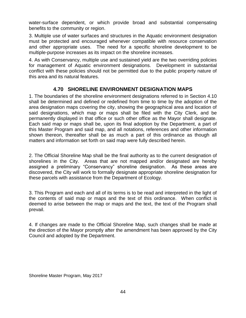water-surface dependent, or which provide broad and substantial compensating benefits to the community or region.

3. Multiple use of water surfaces and structures in the Aquatic environment designation must be protected and encouraged whenever compatible with resource conservation and other appropriate uses. The need for a specific shoreline development to be multiple-purpose increases as its impact on the shoreline increases.

4. As with Conservancy, multiple use and sustained yield are the two overriding policies for management of Aquatic environment designations. Development in substantial conflict with these policies should not be permitted due to the public property nature of this area and its natural features.

# **4.70 SHORELINE ENVIRONMENT DESIGNATION MAPS**

1. The boundaries of the shoreline environment designations referred to in Section 4.10 shall be determined and defined or redefined from time to time by the adoption of the area designation maps covering the city, showing the geographical area and location of said designations, which map or maps shall be filed with the City Clerk, and be permanently displayed in that office or such other office as the Mayor shall designate. Each said map or maps shall be, upon its final adoption by the Department, a part of this Master Program and said map, and all notations, references and other information shown thereon, thereafter shall be as much a part of this ordinance as though all matters and information set forth on said map were fully described herein.

2. The Official Shoreline Map shall be the final authority as to the current designation of shorelines in the City. Areas that are not mapped and/or designated are hereby assigned a preliminary "Conservancy" shoreline designation. As these areas are discovered, the City will work to formally designate appropriate shoreline designation for these parcels with assistance from the Department of Ecology.

3. This Program and each and all of its terms is to be read and interpreted in the light of the contents of said map or maps and the text of this ordinance. When conflict is deemed to arise between the map or maps and the text, the text of the Program shall prevail.

4. If changes are made to the Official Shoreline Map, such changes shall be made at the direction of the Mayor promptly after the amendment has been approved by the City Council and adopted by the Department.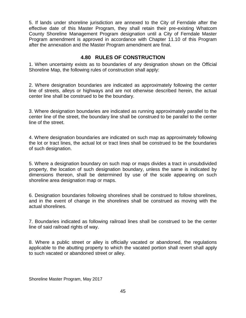5. If lands under shoreline jurisdiction are annexed to the City of Ferndale after the effective date of this Master Program, they shall retain their pre-existing Whatcom County Shoreline Management Program designation until a City of Ferndale Master Program amendment is approved in accordance with Chapter 11.10 of this Program after the annexation and the Master Program amendment are final.

# **4.80 RULES OF CONSTRUCTION**

1. When uncertainty exists as to boundaries of any designation shown on the Official Shoreline Map, the following rules of construction shall apply:

2. Where designation boundaries are indicated as approximately following the center line of streets, alleys or highways and are not otherwise described herein, the actual center line shall be construed to be the boundary.

3. Where designation boundaries are indicated as running approximately parallel to the center line of the street, the boundary line shall be construed to be parallel to the center line of the street.

4. Where designation boundaries are indicated on such map as approximately following the lot or tract lines, the actual lot or tract lines shall be construed to be the boundaries of such designation.

5. Where a designation boundary on such map or maps divides a tract in unsubdivided property, the location of such designation boundary, unless the same is indicated by dimensions thereon, shall be determined by use of the scale appearing on such shoreline area designation map or maps.

6. Designation boundaries following shorelines shall be construed to follow shorelines, and in the event of change in the shorelines shall be construed as moving with the actual shorelines.

7. Boundaries indicated as following railroad lines shall be construed to be the center line of said railroad rights of way.

8. Where a public street or alley is officially vacated or abandoned, the regulations applicable to the abutting property to which the vacated portion shall revert shall apply to such vacated or abandoned street or alley.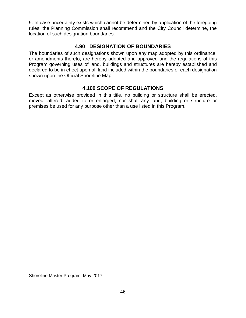9. In case uncertainty exists which cannot be determined by application of the foregoing rules, the Planning Commission shall recommend and the City Council determine, the location of such designation boundaries.

# **4.90 DESIGNATION OF BOUNDARIES**

The boundaries of such designations shown upon any map adopted by this ordinance, or amendments thereto, are hereby adopted and approved and the regulations of this Program governing uses of land, buildings and structures are hereby established and declared to be in effect upon all land included within the boundaries of each designation shown upon the Official Shoreline Map.

# **4.100 SCOPE OF REGULATIONS**

Except as otherwise provided in this title, no building or structure shall be erected, moved, altered, added to or enlarged, nor shall any land, building or structure or premises be used for any purpose other than a use listed in this Program.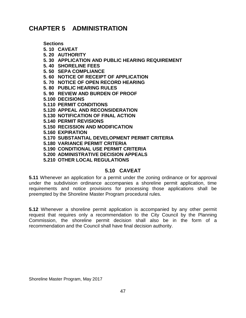# **CHAPTER 5 ADMINISTRATION**

**Sections**

- **5. 10 CAVEAT**
- **5. 20 AUTHORITY**
- **5. 30 APPLICATION AND PUBLIC HEARING REQUIREMENT**
- **5. 40 SHORELINE FEES**
- **5. 50 SEPA COMPLIANCE**
- **5. 60 NOTICE OF RECEIPT OF APPLICATION**
- **5. 70 NOTICE OF OPEN RECORD HEARING**
- **5. 80 PUBLIC HEARING RULES**
- **5. 90 REVIEW AND BURDEN OF PROOF**
- **5.100 DECISIONS**
- **5.110 PERMIT CONDITIONS**
- **5.120 APPEAL AND RECONSIDERATION**
- **5.130 NOTIFICATION OF FINAL ACTION**
- **5.140 PERMIT REVISIONS**
- **5.150 RECISSION AND MODIFICATION**
- **5.160 EXPIRATION**
- **5.170 SUBSTANTIAL DEVELOPMENT PERMIT CRITERIA**
- **5.180 VARIANCE PERMIT CRITERIA**
- **5.190 CONDITIONAL USE PERMIT CRITERIA**
- **5.200 ADMINISTRATIVE DECISION APPEALS**
- **5.210 OTHER LOCAL REGULATIONS**

## **5.10 CAVEAT**

**5.11** Whenever an application for a permit under the zoning ordinance or for approval under the subdivision ordinance accompanies a shoreline permit application, time requirements and notice provisions for processing those applications shall be preempted by the Shoreline Master Program procedural rules.

**5.12** Whenever a shoreline permit application is accompanied by any other permit request that requires only a recommendation to the City Council by the Planning Commission, the shoreline permit decision shall also be in the form of a recommendation and the Council shall have final decision authority.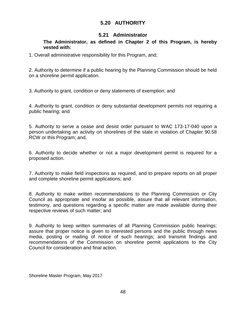# **5.20 AUTHORITY**

# **5.21 Administrator**

#### **The Administrator, as defined in Chapter 2 of this Program, is hereby vested with:**

1. Overall administrative responsibility for this Program, and;

2. Authority to determine if a public hearing by the Planning Commission should be held on a shoreline permit application.

3. Authority to grant, condition or deny statements of exemption; and

4. Authority to grant, condition or deny substantial development permits not requiring a public hearing; and

5. Authority to serve a cease and desist order pursuant to WAC 173-17-040 upon a person undertaking an activity on shorelines of the state in violation of Chapter 90.58 RCW or this Program; and,

6. Authority to decide whether or not a major development permit is required for a proposed action.

7. Authority to make field inspections as required, and to prepare reports on all proper and complete shoreline permit applications; and

8. Authority to make written recommendations to the Planning Commission or City Council as appropriate and insofar as possible, assure that all relevant information, testimony, and questions regarding a specific matter are made available during their respective reviews of such matter; and

9. Authority to keep written summaries of all Planning Commission public hearings; assure that proper notice is given to interested persons and the public through news media, posting or mailing of notice of such hearings; and transmit findings and recommendations of the Commission on shoreline permit applications to the City Council for consideration and final action.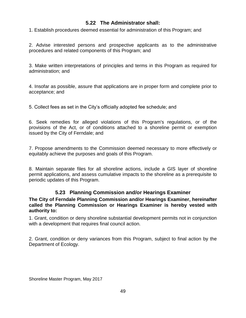# **5.22 The Administrator shall:**

1. Establish procedures deemed essential for administration of this Program; and

2. Advise interested persons and prospective applicants as to the administrative procedures and related components of this Program; and

3. Make written interpretations of principles and terms in this Program as required for administration; and

4. Insofar as possible, assure that applications are in proper form and complete prior to acceptance; and

5. Collect fees as set in the City's officially adopted fee schedule; and

6. Seek remedies for alleged violations of this Program's regulations, or of the provisions of the Act, or of conditions attached to a shoreline permit or exemption issued by the City of Ferndale; and

7. Propose amendments to the Commission deemed necessary to more effectively or equitably achieve the purposes and goals of this Program.

8. Maintain separate files for all shoreline actions, include a GIS layer of shoreline permit applications, and assess cumulative impacts to the shoreline as a prerequisite to periodic updates of this Program.

# **5.23 Planning Commission and/or Hearings Examiner**

#### **The City of Ferndale Planning Commission and/or Hearings Examiner, hereinafter called the Planning Commission or Hearings Examiner is hereby vested with authority to:**

1. Grant, condition or deny shoreline substantial development permits not in conjunction with a development that requires final council action.

2. Grant, condition or deny variances from this Program, subject to final action by the Department of Ecology.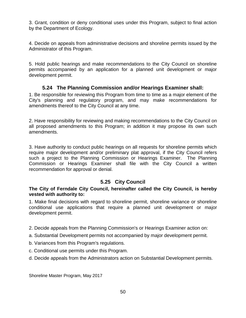3. Grant, condition or deny conditional uses under this Program, subject to final action by the Department of Ecology.

4. Decide on appeals from administrative decisions and shoreline permits issued by the Administrator of this Program.

5. Hold public hearings and make recommendations to the City Council on shoreline permits accompanied by an application for a planned unit development or major development permit.

# **5.24 The Planning Commission and/or Hearings Examiner shall:**

1. Be responsible for reviewing this Program from time to time as a major element of the City's planning and regulatory program, and may make recommendations for amendments thereof to the City Council at any time.

2. Have responsibility for reviewing and making recommendations to the City Council on all proposed amendments to this Program; in addition it may propose its own such amendments.

3. Have authority to conduct public hearings on all requests for shoreline permits which require major development and/or preliminary plat approval, if the City Council refers such a project to the Planning Commission or Hearings Examiner. The Planning Commission or Hearings Examiner shall file with the City Council a written recommendation for approval or denial.

# **5.25 City Council**

#### **The City of Ferndale City Council, hereinafter called the City Council, is hereby vested with authority to:**

1. Make final decisions with regard to shoreline permit, shoreline variance or shoreline conditional use applications that require a planned unit development or major development permit.

- 2. Decide appeals from the Planning Commission's or Hearings Examiner action on:
- a. Substantial Development permits not accompanied by major development permit.
- b. Variances from this Program's regulations.
- c. Conditional use permits under this Program.
- d. Decide appeals from the Administrators action on Substantial Development permits.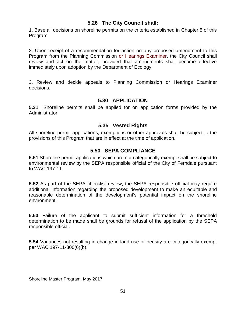## **5.26 The City Council shall:**

1. Base all decisions on shoreline permits on the criteria established in Chapter 5 of this Program.

2. Upon receipt of a recommendation for action on any proposed amendment to this Program from the Planning Commission or Hearings Examiner, the City Council shall review and act on the matter, provided that amendments shall become effective immediately upon adoption by the Department of Ecology.

3. Review and decide appeals to Planning Commission or Hearings Examiner decisions.

## **5.30 APPLICATION**

**5.31** Shoreline permits shall be applied for on application forms provided by the Administrator.

## **5.35 Vested Rights**

All shoreline permit applications, exemptions or other approvals shall be subject to the provisions of this Program that are in effect at the time of application.

# **5.50 SEPA COMPLIANCE**

**5.51** Shoreline permit applications which are not categorically exempt shall be subject to environmental review by the SEPA responsible official of the City of Ferndale pursuant to WAC 197-11.

**5.52** As part of the SEPA checklist review, the SEPA responsible official may require additional information regarding the proposed development to make an equitable and reasonable determination of the development's potential impact on the shoreline environment.

**5.53** Failure of the applicant to submit sufficient information for a threshold determination to be made shall be grounds for refusal of the application by the SEPA responsible official.

**5.54** Variances not resulting in change in land use or density are categorically exempt per WAC 197-11-800(6)(b).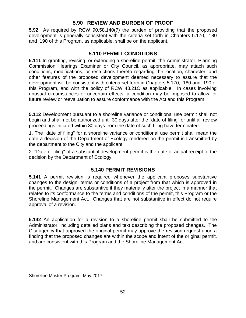# **5.90 REVIEW AND BURDEN OF PROOF**

**5.92** As required by RCW 90.58.140(7) the burden of providing that the proposed development is generally consistent with the criteria set forth in Chapters 5.170, .180 and .190 of this Program, as applicable, shall be on the applicant.

## **5.110 PERMIT CONDITIONS**

**5.111** In granting, revising, or extending a shoreline permit, the Administrator, Planning Commission Hearings Examiner or City Council, as appropriate, may attach such conditions, modifications, or restrictions thereto regarding the location, character, and other features of the proposed development deemed necessary to assure that the development will be consistent with criteria set forth in Chapters 5.170, .180 and .190 of this Program, and with the policy of RCW 43.21C as applicable. In cases involving unusual circumstances or uncertain effects, a condition may be imposed to allow for future review or reevaluation to assure conformance with the Act and this Program.

**5.112** Development pursuant to a shoreline variance or conditional use permit shall not begin and shall not be authorized until 30 days after the "date of filing" or until all review proceedings initiated within 30 days from the date of such filing have terminated.

1. The "date of filing" for a shoreline variance or conditional use permit shall mean the date a decision of the Department of Ecology rendered on the permit is transmitted by the department to the City and the applicant.

2. "Date of filing" of a substantial development permit is the date of actual receipt of the decision by the Department of Ecology.

## **5.140 PERMIT REVISIONS**

**5.141** A permit revision is required whenever the applicant proposes substantive changes to the design, terms or conditions of a project from that which is approved in the permit. Changes are substantive if they materially alter the project in a manner that relates to its conformance to the terms and conditions of the permit, this Program or the Shoreline Management Act. Changes that are not substantive in effect do not require approval of a revision.

**5.142** An application for a revision to a shoreline permit shall be submitted to the Administrator, including detailed plans and text describing the proposed changes. The City agency that approved the original permit may approve the revision request upon a finding that the proposed changes are within the scope and intent of the original permit, and are consistent with this Program and the Shoreline Management Act.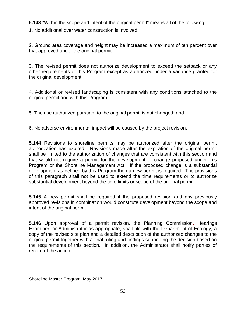**5.143** "Within the scope and intent of the original permit" means all of the following:

1. No additional over water construction is involved.

2. Ground area coverage and height may be increased a maximum of ten percent over that approved under the original permit.

3. The revised permit does not authorize development to exceed the setback or any other requirements of this Program except as authorized under a variance granted for the original development.

4. Additional or revised landscaping is consistent with any conditions attached to the original permit and with this Program;

5. The use authorized pursuant to the original permit is not changed; and

6. No adverse environmental impact will be caused by the project revision.

**5.144** Revisions to shoreline permits may be authorized after the original permit authorization has expired. Revisions made after the expiration of the original permit shall be limited to the authorization of changes that are consistent with this section and that would not require a permit for the development or change proposed under this Program or the Shoreline Management Act. If the proposed change is a substantial development as defined by this Program then a new permit is required. The provisions of this paragraph shall not be used to extend the time requirements or to authorize substantial development beyond the time limits or scope of the original permit.

**5.145** A new permit shall be required if the proposed revision and any previously approved revisions in combination would constitute development beyond the scope and intent of the original permit.

**5.146** Upon approval of a permit revision, the Planning Commission, Hearings Examiner, or Administrator as appropriate, shall file with the Department of Ecology, a copy of the revised site plan and a detailed description of the authorized changes to the original permit together with a final ruling and findings supporting the decision based on the requirements of this section. In addition, the Administrator shall notify parties of record of the action.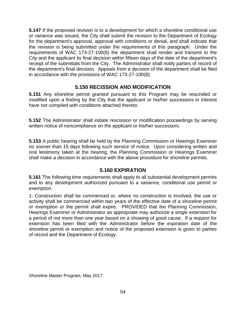**5.147** If the proposed revision is to a development for which a shoreline conditional use or variance was issued, the City shall submit the revision to the Department of Ecology for the department's approval, approval with conditions or denial, and shall indicate that the revision is being submitted under the requirements of this paragraph. Under the requirements of WAC 173-27-100(6) the department shall render and transmit to the City and the applicant its final decision within fifteen days of the date of the department's receipt of the submittals from the City. The Administrator shall notify parties of record of the department's final decision. Appeals from a decision of the department shall be filed in accordance with the provisions of WAC 173-27-100(8).

# **5.150 RECISSION AND MODIFICATION**

**5.151** Any shoreline permit granted pursuant to this Program may be rescinded or modified upon a finding by the City that the applicant or his/her successors in interest have not complied with conditions attached thereto.

**5.152** The Administrator shall initiate rescission or modification proceedings by serving written notice of noncompliance on the applicant or his/her successors.

**5.153** A public hearing shall be held by the Planning Commission or Hearings Examiner no sooner than 15 days following such service of notice. Upon considering written and oral testimony taken at the hearing, the Planning Commission or Hearings Examiner shall make a decision in accordance with the above procedure for shoreline permits.

## **5.160 EXPIRATION**

**5.161** The following time requirements shall apply to all substantial development permits and to any development authorized pursuant to a variance, conditional use permit or exemption.

1. Construction shall be commenced or, where no construction is involved, the use or activity shall be commenced within two years of the effective date of a shoreline permit or exemption or the permit shall expire. PROVIDED that the Planning Commission, Hearings Examiner or Administrator as appropriate may authorize a single extension for a period of not more than one year based on a showing of good cause. If a request for extension has been filed with the Administrator before the expiration date of the shoreline permit or exemption and notice of the proposed extension is given to parties of record and the Department of Ecology.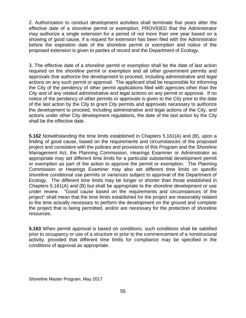2. Authorization to conduct development activities shall terminate five years after the effective date of a shoreline permit or exemption, PROVIDED that the Administrator may authorize a single extension for a period of not more than one year based on a showing of good cause, if a request for extension has been filed with the Administrator before the expiration date of the shoreline permit or exemption and notice of the proposed extension is given to parties of record and the Department of Ecology.

3. The effective date of a shoreline permit or exemption shall be the date of last action required on the shoreline permit or exemption and all other government permits and approvals that authorize the development to proceed, including administrative and legal actions on any such permit or approval. The applicant shall be responsible for informing the City of the pendency of other permit applications filed with agencies other than the City and of any related administrative and legal actions on any permit or approval. If no notice of the pendency of other permits or approvals is given to the City prior to the date of the last action by the City to grant City permits and approvals necessary to authorize the development to proceed, including administrative and legal actions of the City, and actions under other City development regulations, the date of the last action by the City shall be the effective date.

**5.162** Notwithstanding the time limits established in Chapters 5.161(A) and (B), upon a finding of good cause, based on the requirements and circumstances of the proposed project and consistent with the policies and provisions of this Program and the Shoreline Management Act, the Planning Commission, Hearings Examiner or Administrator as appropriate may set different time limits for a particular substantial development permit or exemption as part of the action to approve the permit or exemption. The Planning Commission or Hearings Examiner may also set different time limits on specific shoreline conditional use permits or variances subject to approval of the Department of Ecology. The different time limits may be longer or shorter than those established in Chapters 5.161(A) and (B) but shall be appropriate to the shoreline development or use under review. "Good cause based on the requirements and circumstances of the project" shall mean that the time limits established for the project are reasonably related to the time actually necessary to perform the development on the ground and complete the project that is being permitted, and/or are necessary for the protection of shoreline resources.

**5.163** When permit approval is based on conditions, such conditions shall be satisfied prior to occupancy or use of a structure or prior to the commencement of a nonstructural activity, provided that different time limits for compliance may be specified in the conditions of approval as appropriate.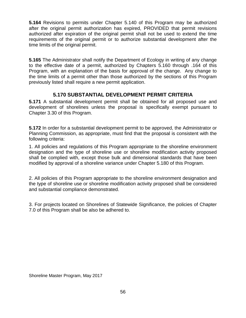**5.164** Revisions to permits under Chapter 5.140 of this Program may be authorized after the original permit authorization has expired, PROVIDED that permit revisions authorized after expiration of the original permit shall not be used to extend the time requirements of the original permit or to authorize substantial development after the time limits of the original permit.

**5.165** The Administrator shall notify the Department of Ecology in writing of any change to the effective date of a permit, authorized by Chapters 5.160 through .164 of this Program, with an explanation of the basis for approval of the change. Any change to the time limits of a permit other than those authorized by the sections of this Program previously listed shall require a new permit application.

# **5.170 SUBSTANTIAL DEVELOPMENT PERMIT CRITERIA**

**5.171** A substantial development permit shall be obtained for all proposed use and development of shorelines unless the proposal is specifically exempt pursuant to Chapter 3.30 of this Program.

**5.172** In order for a substantial development permit to be approved, the Administrator or Planning Commission, as appropriate, must find that the proposal is consistent with the following criteria:

1. All policies and regulations of this Program appropriate to the shoreline environment designation and the type of shoreline use or shoreline modification activity proposed shall be complied with, except those bulk and dimensional standards that have been modified by approval of a shoreline variance under Chapter 5.180 of this Program.

2. All policies of this Program appropriate to the shoreline environment designation and the type of shoreline use or shoreline modification activity proposed shall be considered and substantial compliance demonstrated.

3. For projects located on Shorelines of Statewide Significance, the policies of Chapter 7.0 of this Program shall be also be adhered to.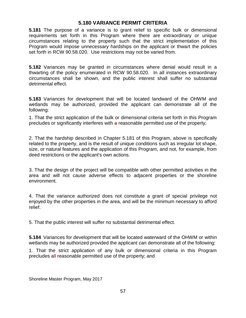## **5.180 VARIANCE PERMIT CRITERIA**

**5.181** The purpose of a variance is to grant relief to specific bulk or dimensional requirements set forth in this Program where there are extraordinary or unique circumstances relating to the property such that the strict implementation of this Program would impose unnecessary hardships on the applicant or thwart the policies set forth in RCW 90.58.020. Use restrictions may not be varied from.

**5.182** Variances may be granted in circumstances where denial would result in a thwarting of the policy enumerated in RCW 90.58.020. In all instances extraordinary circumstances shall be shown, and the public interest shall suffer no substantial detrimental effect.

**5.183** Variances for development that will be located landward of the OHWM and wetlands may be authorized, provided the applicant can demonstrate all of the following:

1. That the strict application of the bulk or dimensional criteria set forth in this Program precludes or significantly interferes with a reasonable permitted use of the property;

2. That the hardship described in Chapter 5.181 of this Program, above is specifically related to the property, and is the result of unique conditions such as irregular lot shape, size, or natural features and the application of this Program, and not, for example, from deed restrictions or the applicant's own actions.

3. That the design of the project will be compatible with other permitted activities in the area and will not cause adverse effects to adjacent properties or the shoreline environment.

4. That the variance authorized does not constitute a grant of special privilege not enjoyed by the other properties in the area, and will be the minimum necessary to afford relief.

5. That the public interest will suffer no substantial detrimental effect.

**5.184** Variances for development that will be located waterward of the OHWM or within wetlands may be authorized provided the applicant can demonstrate all of the following:

1. That the strict application of any bulk or dimensional criteria in this Program precludes all reasonable permitted use of the property; and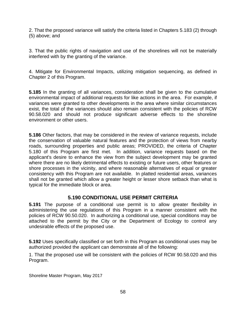2. That the proposed variance will satisfy the criteria listed in Chapters 5.183 (2) through (5) above; and

3. That the public rights of navigation and use of the shorelines will not be materially interfered with by the granting of the variance.

4. Mitigate for Environmental Impacts, utilizing mitigation sequencing, as defined in Chapter 2 of this Program.

**5.185** In the granting of all variances, consideration shall be given to the cumulative environmental impact of additional requests for like actions in the area. For example, if variances were granted to other developments in the area where similar circumstances exist, the total of the variances should also remain consistent with the policies of RCW 90.58.020 and should not produce significant adverse effects to the shoreline environment or other users.

**5.186** Other factors, that may be considered in the review of variance requests, include the conservation of valuable natural features and the protection of views from nearby roads, surrounding properties and public areas; PROVIDED, the criteria of Chapter 5.180 of this Program are first met. In addition, variance requests based on the applicant's desire to enhance the view from the subject development may be granted where there are no likely detrimental effects to existing or future users, other features or shore processes in the vicinity, and where reasonable alternatives of equal or greater consistency with this Program are not available. In platted residential areas, variances shall not be granted which allow a greater height or lesser shore setback than what is typical for the immediate block or area.

## **5.190 CONDITIONAL USE PERMIT CRITERIA**

**5.191** The purpose of a conditional use permit is to allow greater flexibility in administering the use regulations of this Program in a manner consistent with the policies of RCW 90.50.020. In authorizing a conditional use, special conditions may be attached to the permit by the City or the Department of Ecology to control any undesirable effects of the proposed use.

**5.192** Uses specifically classified or set forth in this Program as conditional uses may be authorized provided the applicant can demonstrate all of the following:

1. That the proposed use will be consistent with the policies of RCW 90.58.020 and this Program.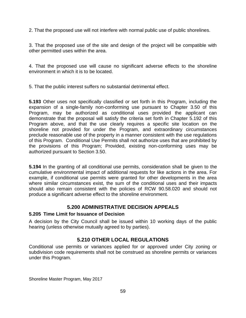2. That the proposed use will not interfere with normal public use of public shorelines.

3. That the proposed use of the site and design of the project will be compatible with other permitted uses within the area.

4. That the proposed use will cause no significant adverse effects to the shoreline environment in which it is to be located.

5. That the public interest suffers no substantial detrimental effect.

**5.193** Other uses not specifically classified or set forth in this Program, including the expansion of a single-family non-conforming use pursuant to Chapter 3.50 of this Program, may be authorized as conditional uses provided the applicant can demonstrate that the proposal will satisfy the criteria set forth in Chapter 5.192 of this Program above, and that the use clearly requires a specific site location on the shoreline not provided for under the Program, and extraordinary circumstances preclude reasonable use of the property in a manner consistent with the use regulations of this Program. Conditional Use Permits shall not authorize uses that are prohibited by the provisions of this Program; Provided, existing non-conforming uses may be authorized pursuant to Section 3.50.

**5.194** In the granting of all conditional use permits, consideration shall be given to the cumulative environmental impact of additional requests for like actions in the area. For example, if conditional use permits were granted for other developments in the area where similar circumstances exist, the sum of the conditional uses and their impacts should also remain consistent with the policies of RCW 90.58.020 and should not produce a significant adverse effect to the shoreline environment.

# **5.200 ADMINISTRATIVE DECISION APPEALS**

## **5.205 Time Limit for Issuance of Decision**

A decision by the City Council shall be issued within 10 working days of the public hearing (unless otherwise mutually agreed to by parties).

# **5.210 OTHER LOCAL REGULATIONS**

Conditional use permits or variances applied for or approved under City zoning or subdivision code requirements shall not be construed as shoreline permits or variances under this Program.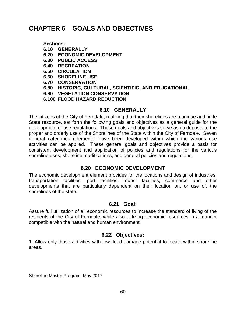# **CHAPTER 6 GOALS AND OBJECTIVES**

**Sections:** 

- **6.10 GENERALLY**
- **6.20 ECONOMIC DEVELOPMENT**
- **6.30 PUBLIC ACCESS**
- **6.40 RECREATION**
- **6.50 CIRCULATION**
- **6.60 SHORELINE USE**
- **6.70 CONSERVATION**
- **6.80 HISTORIC, CULTURAL, SCIENTIFIC, AND EDUCATIONAL**
- **6.90 VEGETATION CONSERVATION**
- **6.100 FLOOD HAZARD REDUCTION**

#### **6.10 GENERALLY**

The citizens of the City of Ferndale, realizing that their shorelines are a unique and finite State resource, set forth the following goals and objectives as a general guide for the development of use regulations. These goals and objectives serve as guideposts to the proper and orderly use of the Shorelines of the State within the City of Ferndale. Seven general categories (elements) have been developed within which the various use activities can be applied. These general goals and objectives provide a basis for consistent development and application of policies and regulations for the various shoreline uses, shoreline modifications, and general policies and regulations.

## **6.20 ECONOMIC DEVELOPMENT**

The economic development element provides for the locations and design of industries, transportation facilities, port facilities, tourist facilities, commerce and other developments that are particularly dependent on their location on, or use of, the shorelines of the state.

## **6.21 Goal:**

Assure full utilization of all economic resources to increase the standard of living of the residents of the City of Ferndale, while also utilizing economic resources in a manner compatible with the natural and human environment.

## **6.22 Objectives:**

1. Allow only those activities with low flood damage potential to locate within shoreline areas.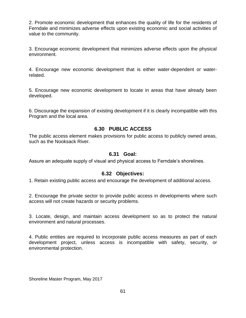2. Promote economic development that enhances the quality of life for the residents of Ferndale and minimizes adverse effects upon existing economic and social activities of value to the community.

3. Encourage economic development that minimizes adverse effects upon the physical environment.

4. Encourage new economic development that is either water-dependent or waterrelated.

5. Encourage new economic development to locate in areas that have already been developed.

6. Discourage the expansion of existing development if it is clearly incompatible with this Program and the local area.

## **6.30 PUBLIC ACCESS**

The public access element makes provisions for public access to publicly owned areas, such as the Nooksack River.

## **6.31 Goal:**

Assure an adequate supply of visual and physical access to Ferndale's shorelines.

## **6.32 Objectives:**

1. Retain existing public access and encourage the development of additional access.

2. Encourage the private sector to provide public access in developments where such access will not create hazards or security problems.

3. Locate, design, and maintain access development so as to protect the natural environment and natural processes.

4. Public entities are required to incorporate public access measures as part of each development project, unless access is incompatible with safety, security, or environmental protection.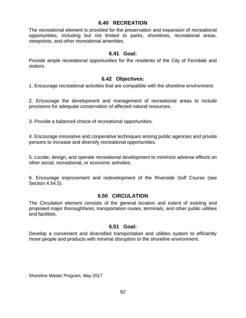#### **6.40 RECREATION**

The recreational element is provided for the preservation and expansion of recreational opportunities, including but not limited to parks, shorelines, recreational areas, viewpoints, and other recreational amenities.

#### **6.41 Goal:**

Provide ample recreational opportunities for the residents of the City of Ferndale and visitors.

#### **6.42 Objectives:**

1. Encourage recreational activities that are compatible with the shoreline environment.

2. Encourage the development and management of recreational areas to include provisions for adequate conservation of affected natural resources.

3. Provide a balanced choice of recreational opportunities.

4. Encourage innovative and cooperative techniques among public agencies and private persons to increase and diversify recreational opportunities.

5. Locate, design, and operate recreational development to minimize adverse effects on other social, recreational, or economic activities.

6. Encourage improvement and redevelopment of the Riverside Golf Course (see Section 4.54.5).

## **6.50 CIRCULATION**

The Circulation element consists of the general location and extent of existing and proposed major thoroughfares, transportation routes, terminals, and other public utilities and facilities.

#### **6.51 Goal:**

Develop a convenient and diversified transportation and utilities system to efficiently move people and products with minimal disruption to the shoreline environment.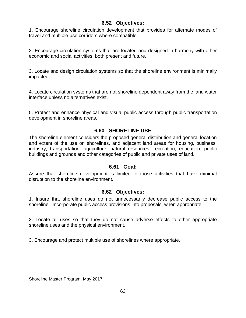## **6.52 Objectives:**

1. Encourage shoreline circulation development that provides for alternate modes of travel and multiple-use corridors where compatible.

2. Encourage circulation systems that are located and designed in harmony with other economic and social activities, both present and future.

3. Locate and design circulation systems so that the shoreline environment is minimally impacted.

4. Locate circulation systems that are not shoreline dependent away from the land water interface unless no alternatives exist.

5. Protect and enhance physical and visual public access through public transportation development in shoreline areas.

# **6.60 SHORELINE USE**

The shoreline element considers the proposed general distribution and general location and extent of the use on shorelines, and adjacent land areas for housing, business, industry, transportation, agriculture, natural resources, recreation, education, public buildings and grounds and other categories of public and private uses of land.

## **6.61 Goal:**

Assure that shoreline development is limited to those activities that have minimal disruption to the shoreline environment.

## **6.62 Objectives:**

1. Insure that shoreline uses do not unnecessarily decrease public access to the shoreline. Incorporate public access provisions into proposals, when appropriate.

2. Locate all uses so that they do not cause adverse effects to other appropriate shoreline uses and the physical environment.

3. Encourage and protect multiple use of shorelines where appropriate.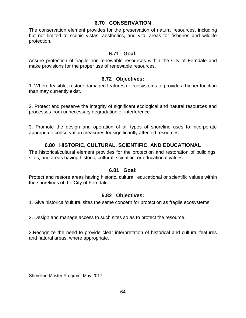#### **6.70 CONSERVATION**

The conservation element provides for the preservation of natural resources, including but not limited to scenic vistas, aesthetics, and vital areas for fisheries and wildlife protection.

#### **6.71 Goal:**

Assure protection of fragile non-renewable resources within the City of Ferndale and make provisions for the proper use of renewable resources.

#### **6.72 Objectives:**

1. Where feasible, restore damaged features or ecosystems to provide a higher function than may currently exist.

2. Protect and preserve the integrity of significant ecological and natural resources and processes from unnecessary degradation or interference.

3. Promote the design and operation of all types of shoreline uses to incorporate appropriate conservation measures for significantly affected resources.

# **6.80 HISTORIC, CULTURAL, SCIENTIFIC, AND EDUCATIONAL**

The historical/cultural element provides for the protection and restoration of buildings, sites, and areas having historic, cultural, scientific, or educational values.

#### **6.81 Goal:**

Protect and restore areas having historic, cultural, educational or scientific values within the shorelines of the City of Ferndale.

#### **6.82 Objectives:**

1. Give historical/cultural sites the same concern for protection as fragile ecosystems.

2. Design and manage access to such sites so as to protect the resource.

3.Recognize the need to provide clear interpretation of historical and cultural features and natural areas, where appropriate.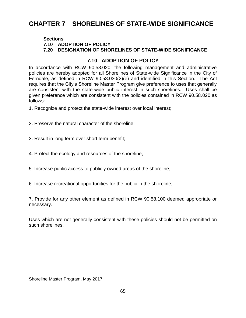# **CHAPTER 7 SHORELINES OF STATE-WIDE SIGNIFICANCE**

#### **Sections**

**7.10 ADOPTION OF POLICY**

#### **7.20 DESIGNATION OF SHORELINES OF STATE-WIDE SIGNIFICANCE**

## **7.10 ADOPTION OF POLICY**

In accordance with RCW 90.58.020, the following management and administrative policies are hereby adopted for all Shorelines of State-wide Significance in the City of Ferndale, as defined in RCW 90.58.030(2)(e) and identified in this Section. The Act requires that the City's Shoreline Master Program give preference to uses that generally are consistent with the state-wide public interest in such shorelines. Uses shall be given preference which are consistent with the policies contained in RCW 90.58.020 as follows:

1. Recognize and protect the state-wide interest over local interest;

- 2. Preserve the natural character of the shoreline;
- 3. Result in long term over short term benefit;
- 4. Protect the ecology and resources of the shoreline;
- 5. Increase public access to publicly owned areas of the shoreline;
- 6. Increase recreational opportunities for the public in the shoreline;

7. Provide for any other element as defined in RCW 90.58.100 deemed appropriate or necessary.

Uses which are not generally consistent with these policies should not be permitted on such shorelines.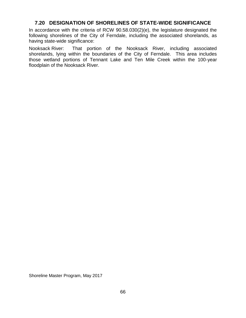## **7.20 DESIGNATION OF SHORELINES OF STATE-WIDE SIGNIFICANCE**

In accordance with the criteria of RCW 90.58.030(2)(e), the legislature designated the following shorelines of the City of Ferndale, including the associated shorelands, as having state-wide significance:

Nooksack River: That portion of the Nooksack River, including associated shorelands, lying within the boundaries of the City of Ferndale. This area includes those wetland portions of Tennant Lake and Ten Mile Creek within the 100-year floodplain of the Nooksack River.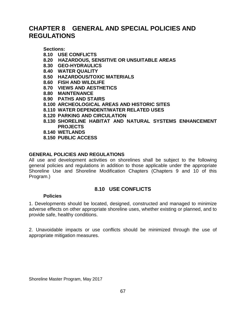# **CHAPTER 8 GENERAL AND SPECIAL POLICIES AND REGULATIONS**

**Sections:**

- **8.10 USE CONFLICTS**
- **8.20 HAZARDOUS, SENSITIVE OR UNSUITABLE AREAS**
- **8.30 GEO-HYDRAULICS**
- **8.40 WATER QUALITY**
- **8.50 HAZARDOUS/TOXIC MATERIALS**
- **8.60 FISH AND WILDLIFE**
- **8.70 VIEWS AND AESTHETICS**
- **8.80 MAINTENANCE**
- **8.90 PATHS AND STAIRS**
- **8.100 ARCHEOLOGICAL AREAS AND HISTORIC SITES**
- **8.110 WATER DEPENDENT/WATER RELATED USES**
- **8.120 PARKING AND CIRCULATION**
- **8.130 SHORELINE HABITAT AND NATURAL SYSTEMS ENHANCEMENT PROJECTS**
- **8.140 WETLANDS**
- **8.150 PUBLIC ACCESS**

#### **GENERAL POLICIES AND REGULATIONS**

All use and development activities on shorelines shall be subject to the following general policies and regulations in addition to those applicable under the appropriate Shoreline Use and Shoreline Modification Chapters (Chapters 9 and 10 of this Program.)

## **8.10 USE CONFLICTS**

#### **Policies**

1. Developments should be located, designed, constructed and managed to minimize adverse effects on other appropriate shoreline uses, whether existing or planned, and to provide safe, healthy conditions.

2. Unavoidable impacts or use conflicts should be minimized through the use of appropriate mitigation measures.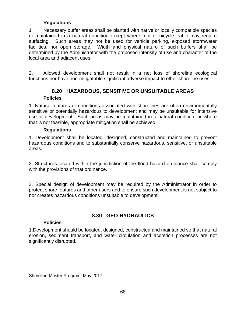#### **Regulations**

1 Necessary buffer areas shall be planted with native or locally compatible species or maintained in a natural condition except where foot or bicycle traffic may require surfacing. Such areas may not be used for vehicle parking, exposed stormwater facilities, nor open storage. Width and physical nature of such buffers shall be determined by the Administrator with the proposed intensity of use and character of the local area and adjacent uses.

2. Allowed development shall not result in a net loss of shoreline ecological functions nor have non-mitigatable significant adverse impact to other shoreline uses.

# **8.20 HAZARDOUS, SENSITIVE OR UNSUITABLE AREAS**

#### **Policies**

1. Natural features or conditions associated with shorelines are often environmentally sensitive or potentially hazardous to development and may be unsuitable for intensive use or development. Such areas may be maintained in a natural condition, or where that is not feasible, appropriate mitigation shall be achieved.

#### **Regulations**

1. Development shall be located, designed, constructed and maintained to prevent hazardous conditions and to substantially conserve hazardous, sensitive, or unsuitable areas.

2. Structures located within the jurisdiction of the flood hazard ordinance shall comply with the provisions of that ordinance.

3. Special design of development may be required by the Administrator in order to protect shore features and other users and to ensure such development is not subject to nor creates hazardous conditions unsuitable to development.

## **8.30 GEO-HYDRAULICS**

#### **Policies**

1.Development should be located, designed, constructed and maintained so that natural erosion, sediment transport, and water circulation and accretion processes are not significantly disrupted.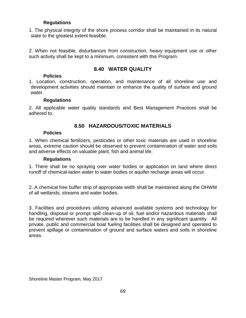#### **Regulations**

1. The physical integrity of the shore process corridor shall be maintained in its natural state to the greatest extent feasible.

2. When not feasible, disturbances from construction, heavy equipment use or other such activity shall be kept to a minimum, consistent with this Program.

# **8.40 WATER QUALITY**

#### **Policies**

1. Location, construction, operation, and maintenance of all shoreline use and development activities should maintain or enhance the quality of surface and ground water.

#### **Regulations**

2. All applicable water quality standards and Best Management Practices shall be adhered to.

## **8.50 HAZARDOUS/TOXIC MATERIALS**

#### **Policies**

1. When chemical fertilizers, pesticides or other toxic materials are used in shoreline areas, extreme caution should be observed to prevent contamination of water and soils and adverse effects on valuable plant, fish and animal life.

#### **Regulations**

1. There shall be no spraying over water bodies or application on land where direct runoff of chemical-laden water to water bodies or aquifer recharge areas will occur.

2. A chemical free buffer strip of appropriate width shall be maintained along the OHWM of all wetlands, streams and water bodies.

3. Facilities and procedures utilizing advanced available systems and technology for handling, disposal or prompt spill clean-up of oil, fuel and/or hazardous materials shall be required wherever such materials are to be handled in any significant quantity. All private, public and commercial boat fueling facilities shall be designed and operated to prevent spillage or contamination of ground and surface waters and soils in shoreline areas.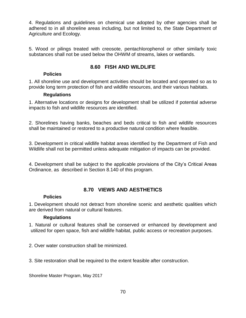4. Regulations and guidelines on chemical use adopted by other agencies shall be adhered to in all shoreline areas including, but not limited to, the State Department of Agriculture and Ecology.

5. Wood or pilings treated with creosote, pentachlorophenol or other similarly toxic substances shall not be used below the OHWM of streams, lakes or wetlands.

# **8.60 FISH AND WILDLIFE**

#### **Policies**

1. All shoreline use and development activities should be located and operated so as to provide long term protection of fish and wildlife resources, and their various habitats.

#### **Regulations**

1. Alternative locations or designs for development shall be utilized if potential adverse impacts to fish and wildlife resources are identified.

2. Shorelines having banks, beaches and beds critical to fish and wildlife resources shall be maintained or restored to a productive natural condition where feasible.

3. Development in critical wildlife habitat areas identified by the Department of Fish and Wildlife shall not be permitted unless adequate mitigation of impacts can be provided.

4. Development shall be subject to the applicable provisions of the City's Critical Areas Ordinance, as described in Section 8.140 of this program.

# **8.70 VIEWS AND AESTHETICS**

## **Policies**

1. Development should not detract from shoreline scenic and aesthetic qualities which are derived from natural or cultural features.

## **Regulations**

1. Natural or cultural features shall be conserved or enhanced by development and utilized for open space, fish and wildlife habitat, public access or recreation purposes.

2. Over water construction shall be minimized.

3. Site restoration shall be required to the extent feasible after construction.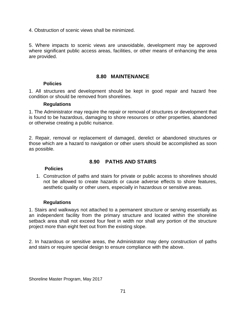4. Obstruction of scenic views shall be minimized.

5. Where impacts to scenic views are unavoidable, development may be approved where significant public access areas, facilities, or other means of enhancing the area are provided.

#### **8.80 MAINTENANCE**

#### **Policies**

1. All structures and development should be kept in good repair and hazard free condition or should be removed from shorelines.

#### **Regulations**

1. The Administrator may require the repair or removal of structures or development that is found to be hazardous, damaging to shore resources or other properties, abandoned or otherwise creating a public nuisance.

2. Repair, removal or replacement of damaged, derelict or abandoned structures or those which are a hazard to navigation or other users should be accomplished as soon as possible.

## **8.90 PATHS AND STAIRS**

#### **Policies**

1. Construction of paths and stairs for private or public access to shorelines should not be allowed to create hazards or cause adverse effects to shore features, aesthetic quality or other users, especially in hazardous or sensitive areas.

#### **Regulations**

1. Stairs and walkways not attached to a permanent structure or serving essentially as an independent facility from the primary structure and located within the shoreline setback area shall not exceed four feet in width nor shall any portion of the structure project more than eight feet out from the existing slope.

2. In hazardous or sensitive areas, the Administrator may deny construction of paths and stairs or require special design to ensure compliance with the above.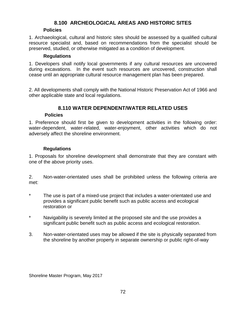# **8.100 ARCHEOLOGICAL AREAS AND HISTORIC SITES**

#### **Policies**

1. Archaeological, cultural and historic sites should be assessed by a qualified cultural resource specialist and, based on recommendations from the specialist should be preserved, studied, or otherwise mitigated as a condition of development.

#### **Regulations**

1. Developers shall notify local governments if any cultural resources are uncovered during excavations. In the event such resources are uncovered, construction shall cease until an appropriate cultural resource management plan has been prepared.

2. All developments shall comply with the National Historic Preservation Act of 1966 and other applicable state and local regulations.

## **8.110 WATER DEPENDENT/WATER RELATED USES**

#### **Policies**

1. Preference should first be given to development activities in the following order: water-dependent, water-related, water-enjoyment, other activities which do not adversely affect the shoreline environment.

#### **Regulations**

1. Proposals for shoreline development shall demonstrate that they are constant with one of the above priority uses.

2. Non-water-orientated uses shall be prohibited unless the following criteria are met:

- \* The use is part of a mixed-use project that includes a water-orientated use and provides a significant public benefit such as public access and ecological restoration or
- \* Navigability is severely limited at the proposed site and the use provides a significant public benefit such as public access and ecological restoration.
- 3. Non-water-orientated uses may be allowed if the site is physically separated from the shoreline by another property in separate ownership or public right-of-way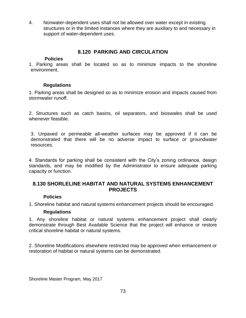4. Nonwater-dependent uses shall not be allowed over water except in existing structures or in the limited instances where they are auxiliary to and necessary in support of water-dependent uses.

# **8.120 PARKING AND CIRCULATION**

#### **Policies**

1. Parking areas shall be located so as to minimize impacts to the shoreline environment.

### **Regulations**

1. Parking areas shall be designed so as to minimize erosion and impacts caused from stormwater runoff.

2. Structures such as catch basins, oil separators, and bioswales shall be used whenever feasible.

3. Unpaved or permeable all-weather surfaces may be approved if it can be demonstrated that there will be no adverse impact to surface or groundwater resources.

4. Standards for parking shall be consistent with the City's zoning ordinance, design standards, and may be modified by the Administrator to ensure adequate parking capacity or function.

# **8.130 SHORLELINE HABITAT AND NATURAL SYSTEMS ENHANCEMENT PROJECTS**

# **Policies**

1. Shoreline habitat and natural systems enhancement projects should be encouraged.

# **Regulations**

1. Any shoreline habitat or natural systems enhancement project shall clearly demonstrate through Best Available Science that the project will enhance or restore critical shoreline habitat or natural systems.

2. Shoreline Modifications elsewhere restricted may be approved when enhancement or restoration of habitat or natural systems can be demonstrated.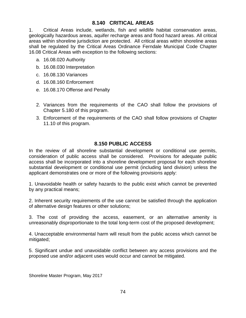# **8.140 CRITICAL AREAS**

1. Critical Areas include, wetlands, fish and wildlife habitat conservation areas, geologically hazardous areas, aquifer recharge areas and flood hazard areas. All critical areas within shoreline jurisdiction are protected. All critical areas within shoreline areas shall be regulated by the Critical Areas Ordinance Ferndale Municipal Code Chapter 16.08 Critical Areas with exception to the following sections:

- a. 16.08.020 Authority
- b. 16.08.030 Interpretation
- c. 16.08.130 Variances
- d. 16.08.160 Enforcement
- e. 16.08.170 Offense and Penalty
- 2. Variances from the requirements of the CAO shall follow the provisions of Chapter 5.180 of this program.
- 3. Enforcement of the requirements of the CAO shall follow provisions of Chapter 11.10 of this program.

# **8.150 PUBLIC ACCESS**

In the review of all shoreline substantial development or conditional use permits, consideration of public access shall be considered. Provisions for adequate public access shall be incorporated into a shoreline development proposal for each shoreline substantial development or conditional use permit (including land division) unless the applicant demonstrates one or more of the following provisions apply:

1. Unavoidable health or safety hazards to the public exist which cannot be prevented by any practical means;

2. Inherent security requirements of the use cannot be satisfied through the application of alternative design features or other solutions;

3. The cost of providing the access, easement, or an alternative amenity is unreasonably disproportionate to the total long-term cost of the proposed development;

4. Unacceptable environmental harm will result from the public access which cannot be mitigated;

5. Significant undue and unavoidable conflict between any access provisions and the proposed use and/or adjacent uses would occur and cannot be mitigated.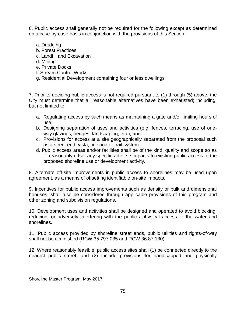6. Public access shall generally not be required for the following except as determined on a case-by-case basis in conjunction with the provisions of this Section:

- a. Dredging
- b. Forest Practices
- c. Landfill and Excavation
- d. Mining
- e. Private Docks
- f. Stream Control Works
- g. Residential Development containing four or less dwellings

7. Prior to deciding public access is not required pursuant to (1) through (5) above, the City must determine that all reasonable alternatives have been exhausted; including, but not limited to:

- a. Regulating access by such means as maintaining a gate and/or limiting hours of use;
- b. Designing separation of uses and activities (e.g. fences, terracing, use of oneway glazings, hedges, landscaping, etc.); and
- c. Provisions for access at a site geographically separated from the proposal such as a street end, vista, tideland or trail system.
- d. Public access areas and/or facilities shall be of the kind, quality and scope so as to reasonably offset any specific adverse impacts to existing public access of the proposed shoreline use or development activity.

8. Alternate off-site improvements in public access to shorelines may be used upon agreement, as a means of offsetting identifiable on-site impacts.

9. Incentives for public access improvements such as density or bulk and dimensional bonuses, shall also be considered through applicable provisions of this program and other zoning and subdivision regulations.

10. Development uses and activities shall be designed and operated to avoid blocking, reducing, or adversely interfering with the public's physical access to the water and shorelines.

11. Public access provided by shoreline street ends, public utilities and rights-of-way shall not be diminished (RCW 35.797.035 and RCW 36.87.130).

12. Where reasonably feasible, public access sites shall (1) be connected directly to the nearest public street; and (2) include provisions for handicapped and physically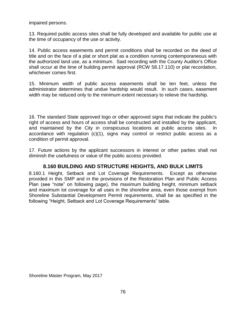impaired persons.

13. Required public access sites shall be fully developed and available for public use at the time of occupancy of the use or activity.

14. Public access easements and permit conditions shall be recorded on the deed of title and on the face of a plat or short plat as a condition running contemporaneous with the authorized land use, as a minimum. Said recording with the County Auditor's Office shall occur at the time of building permit approval (RCW 58.17.110) or plat recordation, whichever comes first.

15. Minimum width of public access easements shall be ten feet, unless the administrator determines that undue hardship would result. In such cases, easement width may be reduced only to the minimum extent necessary to relieve the hardship.

16. The standard State approved logo or other approved signs that indicate the public's right of access and hours of access shall be constructed and installed by the applicant, and maintained by the City in conspicuous locations at public access sites. In accordance with regulation (c)(1), signs may control or restrict public access as a condition of permit approval.

17. Future actions by the applicant successors in interest or other parties shall not diminish the usefulness or value of the public access provided.

# **8.160 BUILDING AND STRUCTURE HEIGHTS, AND BULK LIMITS**

8.160.1 Height, Setback and Lot Coverage Requirements. Except as otherwise provided in this SMP and in the provisions of the Restoration Plan and Public Access Plan (see "note" on following page), the maximum building height, minimum setback and maximum lot coverage for all uses in the shoreline area, even those exempt from Shoreline Substantial Development Permit requirements, shall be as specified in the following "Height, Setback and Lot Coverage Requirements" table.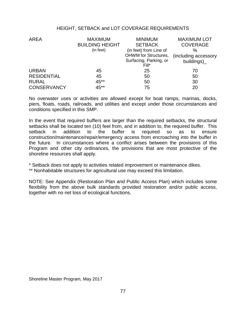#### HEIGHT, SETBACK and LOT COVERAGE REQUIREMENTS

| <b>AREA</b>        | <b>MAXIMUM</b>         | <b>MINIMUM</b>              | <b>MAXIMUM LOT</b>   |
|--------------------|------------------------|-----------------------------|----------------------|
|                    | <b>BUILDING HEIGHT</b> | <b>SETBACK</b>              | <b>COVERAGE</b>      |
|                    | (in feet)              | (in feet) from Line of      | $\%$                 |
|                    |                        | <b>OHWM</b> for Structures, | (including accessory |
|                    |                        | Surfacing, Parking, or      | building)            |
|                    |                        | Fill*                       |                      |
| <b>URBAN</b>       | 45                     | 25                          | 70                   |
| <b>RESIDENTIAL</b> | 45                     | 50                          | 50                   |
| <b>RURAL</b>       | 45**                   | 50                          | 30                   |
| <b>CONSERVANCY</b> | 45**                   | 75                          | 20                   |

No overwater uses or activities are allowed except for boat ramps, marinas, docks, piers, floats, roads, railroads, and utilities and except under those circumstances and conditions specified in this SMP.

In the event that required buffers are larger than the required setbacks, the structural setbacks shall be located ten (10) feet from, and in addition to, the required buffer. This setback in addition to the buffer is required so as to ensure construction/maintenance/repair/emergency access from encroaching into the buffer in the future. In circumstances where a conflict arises between the provisions of this Program and other city ordinances, the provisions that are most protective of the shoreline resources shall apply.

\* Setback does not apply to activities related improvement or maintenance dikes.

\*\* Nonhabitable structures for agricultural use may exceed this limitation.

NOTE: See Appendix (Restoration Plan and Public Access Plan) which includes some flexibility from the above bulk standards provided restoration and/or public access, together with no net loss of ecological functions.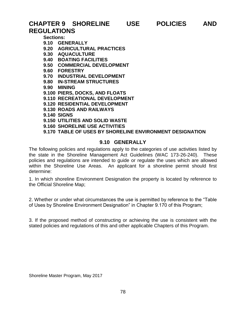# **CHAPTER 9 SHORELINE USE POLICIES AND REGULATIONS**

**Sections:**

- **9.10 GENERALLY**
- **9.20 AGRICULTURAL PRACTICES**
- **9.30 AQUACULTURE**
- **9.40 BOATING FACILITIES**
- **9.50 COMMERCIAL DEVELOPMENT**
- **9.60 FORESTRY**
- **9.70 INDUSTRIAL DEVELOPMENT**
- **9.80 IN-STREAM STRUCTURES**
- **9.90 MINING**
- **9.100 PIERS, DOCKS, AND FLOATS**
- **9.110 RECREATIONAL DEVELOPMENT**
- **9.120 RESIDENTIAL DEVELOPMENT**
- **9.130 ROADS AND RAILWAYS**
- **9.140 SIGNS**
- **9.150 UTILITIES AND SOLID WASTE**
- **9.160 SHORELINE USE ACTIVITIES**
- **9.170 TABLE OF USES BY SHORELINE ENVIRONMENT DESIGNATION**

# **9.10 GENERALLY**

The following policies and regulations apply to the categories of use activities listed by the state in the Shoreline Management Act Guidelines (WAC 173-26-240). These policies and regulations are intended to guide or regulate the uses which are allowed within the Shoreline Use Areas. An applicant for a shoreline permit should first determine:

1. In which shoreline Environment Designation the property is located by reference to the Official Shoreline Map;

2. Whether or under what circumstances the use is permitted by reference to the "Table of Uses by Shoreline Environment Designation" in Chapter 9.170 of this Program;

3. If the proposed method of constructing or achieving the use is consistent with the stated policies and regulations of this and other applicable Chapters of this Program.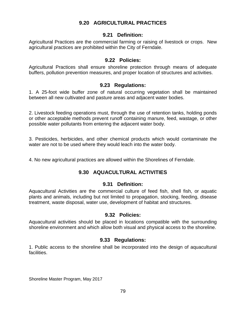# **9.20 AGRICULTURAL PRACTICES**

#### **9.21 Definition:**

Agricultural Practices are the commercial farming or raising of livestock or crops. New agricultural practices are prohibited within the City of Ferndale.

#### **9.22 Policies:**

Agricultural Practices shall ensure shoreline protection through means of adequate buffers, pollution prevention measures, and proper location of structures and activities.

#### **9.23 Regulations:**

1. A 25-foot wide buffer zone of natural occurring vegetation shall be maintained between all new cultivated and pasture areas and adjacent water bodies.

2. Livestock feeding operations must, through the use of retention tanks, holding ponds or other acceptable methods prevent runoff containing manure, feed, wastage, or other possible water pollutants from entering the adjacent water body.

3. Pesticides, herbicides, and other chemical products which would contaminate the water are not to be used where they would leach into the water body.

4. No new agricultural practices are allowed within the Shorelines of Ferndale.

# **9.30 AQUACULTURAL ACTIVITIES**

#### **9.31 Definition:**

Aquacultural Activities are the commercial culture of feed fish, shell fish, or aquatic plants and animals, including but not limited to propagation, stocking, feeding, disease treatment, waste disposal, water use, development of habitat and structures.

#### **9.32 Policies:**

Aquacultural activities should be placed in locations compatible with the surrounding shoreline environment and which allow both visual and physical access to the shoreline.

#### **9.33 Regulations:**

1. Public access to the shoreline shall be incorporated into the design of aquacultural facilities.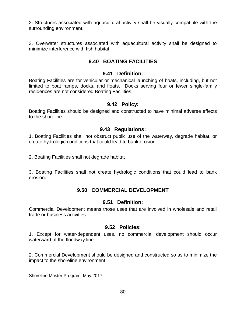2. Structures associated with aquacultural activity shall be visually compatible with the surrounding environment.

3. Overwater structures associated with aquacultural activity shall be designed to minimize interference with fish habitat.

# **9.40 BOATING FACILITIES**

#### **9.41 Definition:**

Boating Facilities are for vehicular or mechanical launching of boats, including, but not limited to boat ramps, docks, and floats. Docks serving four or fewer single-family residences are not considered Boating Facilities.

# **9.42 Policy:**

Boating Facilities should be designed and constructed to have minimal adverse effects to the shoreline.

### **9.43 Regulations:**

1. Boating Facilities shall not obstruct public use of the waterway, degrade habitat, or create hydrologic conditions that could lead to bank erosion.

2. Boating Facilities shall not degrade habitat

3. Boating Facilities shall not create hydrologic conditions that could lead to bank erosion.

# **9.50 COMMERCIAL DEVELOPMENT**

#### **9.51 Definition:**

Commercial Development means those uses that are involved in wholesale and retail trade or business activities.

#### **9.52 Policies:**

1. Except for water-dependent uses, no commercial development should occur waterward of the floodway line.

2. Commercial Development should be designed and constructed so as to minimize the impact to the shoreline environment.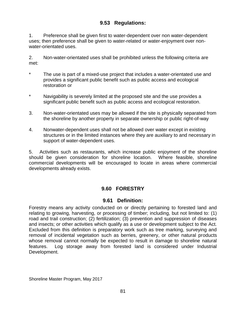# **9.53 Regulations:**

1. Preference shall be given first to water-dependent over non water-dependent uses; then preference shall be given to water-related or water-enjoyment over nonwater-orientated uses.

2. Non-water-orientated uses shall be prohibited unless the following criteria are met:

- The use is part of a mixed-use project that includes a water-orientated use and provides a significant public benefit such as public access and ecological restoration or
- \* Navigability is severely limited at the proposed site and the use provides a significant public benefit such as public access and ecological restoration.
- 3. Non-water-orientated uses may be allowed if the site is physically separated from the shoreline by another property in separate ownership or public right-of-way
- 4. Nonwater-dependent uses shall not be allowed over water except in existing structures or in the limited instances where they are auxiliary to and necessary in support of water-dependent uses.

5. Activities such as restaurants, which increase public enjoyment of the shoreline should be given consideration for shoreline location. Where feasible, shoreline commercial developments will be encouraged to locate in areas where commercial developments already exists.

# **9.60 FORESTRY**

# **9.61 Definition:**

Forestry means any activity conducted on or directly pertaining to forested land and relating to growing, harvesting, or processing of timber; including, but not limited to: (1) road and trail construction; (2) fertilization; (3) prevention and suppression of diseases and insects; or other activities which qualify as a use or development subject to the Act. Excluded from this definition is preparatory work such as tree marking, surveying and removal of incidental vegetation such as berries, greenery, or other natural products whose removal cannot normally be expected to result in damage to shoreline natural features. Log storage away from forested land is considered under Industrial Development.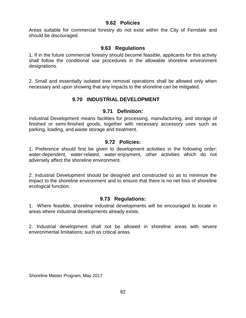### **9.62 Policies**

Areas suitable for commercial forestry do not exist within the City of Ferndale and should be discouraged.

# **9.63 Regulations**

1. If in the future commercial forestry should become feasible, applicants for this activity shall follow the conditional use procedures in the allowable shoreline environment designations.

2. Small and essentially isolated tree removal operations shall be allowed only when necessary and upon showing that any impacts to the shoreline can be mitigated.

# **9.70 INDUSTRIAL DEVELOPMENT**

### **9.71 Definition:**

Industrial Development means facilities for processing, manufacturing, and storage of finished or semi-finished goods, together with necessary accessory uses such as parking, loading, and waste storage and treatment.

### **9.72 Policies:**

1. Preference should first be given to development activities in the following order: water-dependent, water-related, water-enjoyment, other activities which do not adversely affect the shoreline environment.

2. Industrial Development should be designed and constructed so as to minimize the impact to the shoreline environment and to ensure that there is no net loss of shoreline ecological function.

# **9.73 Regulations:**

1. Where feasible, shoreline industrial developments will be encouraged to locate in areas where industrial developments already exists.

2. Industrial development shall not be allowed in shoreline areas with severe environmental limitations; such as critical areas.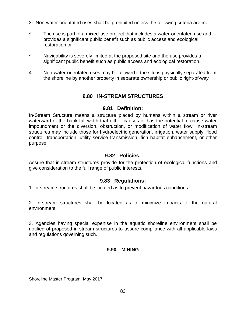- 3. Non-water-orientated uses shall be prohibited unless the following criteria are met:
- The use is part of a mixed-use project that includes a water-orientated use and provides a significant public benefit such as public access and ecological restoration or
- \* Navigability is severely limited at the proposed site and the use provides a significant public benefit such as public access and ecological restoration.
- 4. Non-water-orientated uses may be allowed if the site is physically separated from the shoreline by another property in separate ownership or public right-of-way

# **9.80 IN-STREAM STRUCTURES**

# **9.81 Definition:**

In-Stream Structure means a structure placed by humans within a stream or river waterward of the bank full width that either causes or has the potential to cause water impoundment or the diversion, obstruction, or modification of water flow. In-stream structures may include those for hydroelectric generation, irrigation, water supply, flood control, transportation, utility service transmission, fish habitat enhancement, or other purpose.

### **9.82 Policies:**

Assure that in-stream structures provide for the protection of ecological functions and give consideration to the full range of public interests.

# **9.83 Regulations:**

1. In-stream structures shall be located as to prevent hazardous conditions.

2. In-stream structures shall be located as to minimize impacts to the natural environment.

3. Agencies having special expertise in the aquatic shoreline environment shall be notified of proposed in-stream structures to assure compliance with all applicable laws and regulations governing such.

#### **9.90 MINING**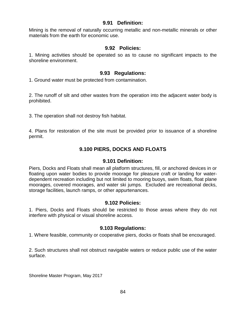### **9.91 Definition:**

Mining is the removal of naturally occurring metallic and non-metallic minerals or other materials from the earth for economic use.

### **9.92 Policies:**

1. Mining activities should be operated so as to cause no significant impacts to the shoreline environment.

#### **9.93 Regulations:**

1. Ground water must be protected from contamination.

2. The runoff of silt and other wastes from the operation into the adjacent water body is prohibited.

3. The operation shall not destroy fish habitat.

4. Plans for restoration of the site must be provided prior to issuance of a shoreline permit.

# **9.100 PIERS, DOCKS AND FLOATS**

#### **9.101 Definition:**

Piers, Docks and Floats shall mean all platform structures, fill, or anchored devices in or floating upon water bodies to provide moorage for pleasure craft or landing for waterdependent recreation including but not limited to mooring buoys, swim floats, float plane moorages, covered moorages, and water ski jumps. Excluded are recreational decks, storage facilities, launch ramps, or other appurtenances.

#### **9.102 Policies:**

1. Piers, Docks and Floats should be restricted to those areas where they do not interfere with physical or visual shoreline access.

# **9.103 Regulations:**

1. Where feasible, community or cooperative piers, docks or floats shall be encouraged.

2. Such structures shall not obstruct navigable waters or reduce public use of the water surface.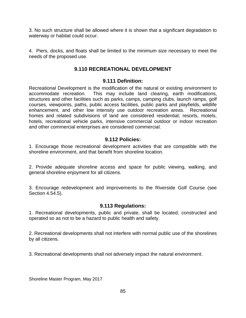3. No such structure shall be allowed where it is shown that a significant degradation to waterway or habitat could occur.

4. Piers, docks, and floats shall be limited to the minimum size necessary to meet the needs of the proposed use.

# **9.110 RECREATIONAL DEVELOPMENT**

#### **9.111 Definition:**

Recreational Development is the modification of the natural or existing environment to accommodate recreation. This may include land clearing, earth modifications, structures and other facilities such as parks, camps, camping clubs, launch ramps, golf courses, viewpoints, paths, public access facilities, public parks and playfields, wildlife enhancement, and other low intensity use outdoor recreation areas. Recreational homes and related subdivisions of land are considered residential; resorts, motels, hotels, recreational vehicle parks, intensive commercial outdoor or indoor recreation and other commercial enterprises are considered commercial.

# **9.112 Policies:**

1. Encourage those recreational development activities that are compatible with the shoreline environment, and that benefit from shoreline location.

2. Provide adequate shoreline access and space for public viewing, walking, and general shoreline enjoyment for all citizens.

3. Encourage redevelopment and improvements to the Riverside Golf Course (see Section 4.54.5).

# **9.113 Regulations:**

1. Recreational developments, public and private, shall be located, constructed and operated so as not to be a hazard to public health and safety.

2. Recreational developments shall not interfere with normal public use of the shorelines by all citizens.

3. Recreational developments shall not adversely impact the natural environment.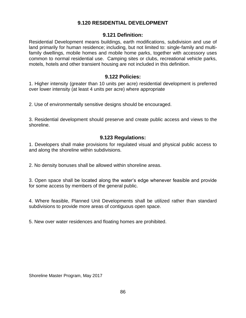# **9.120 RESIDENTIAL DEVELOPMENT**

### **9.121 Definition:**

Residential Development means buildings, earth modifications, subdivision and use of land primarily for human residence; including, but not limited to: single-family and multifamily dwellings, mobile homes and mobile home parks, together with accessory uses common to normal residential use. Camping sites or clubs, recreational vehicle parks, motels, hotels and other transient housing are not included in this definition.

### **9.122 Policies:**

1. Higher intensity (greater than 10 units per acre) residential development is preferred over lower intensity (at least 4 units per acre) where appropriate

2. Use of environmentally sensitive designs should be encouraged.

3. Residential development should preserve and create public access and views to the shoreline.

#### **9.123 Regulations:**

1. Developers shall make provisions for regulated visual and physical public access to and along the shoreline within subdivisions.

2. No density bonuses shall be allowed within shoreline areas.

3. Open space shall be located along the water's edge whenever feasible and provide for some access by members of the general public.

4. Where feasible, Planned Unit Developments shall be utilized rather than standard subdivisions to provide more areas of contiguous open space.

5. New over water residences and floating homes are prohibited.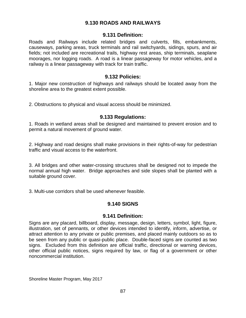# **9.130 ROADS AND RAILWAYS**

#### **9.131 Definition:**

Roads and Railways include related bridges and culverts, fills, embankments, causeways, parking areas, truck terminals and rail switchyards, sidings, spurs, and air fields; not included are recreational trails, highway rest areas, ship terminals, seaplane moorages, nor logging roads. A road is a linear passageway for motor vehicles, and a railway is a linear passageway with track for train traffic.

#### **9.132 Policies:**

1. Major new construction of highways and railways should be located away from the shoreline area to the greatest extent possible.

2. Obstructions to physical and visual access should be minimized.

#### **9.133 Regulations:**

1. Roads in wetland areas shall be designed and maintained to prevent erosion and to permit a natural movement of ground water.

2. Highway and road designs shall make provisions in their rights-of-way for pedestrian traffic and visual access to the waterfront.

3. All bridges and other water-crossing structures shall be designed not to impede the normal annual high water. Bridge approaches and side slopes shall be planted with a suitable ground cover.

3. Multi-use corridors shall be used whenever feasible.

# **9.140 SIGNS**

#### **9.141 Definition:**

Signs are any placard, billboard, display, message, design, letters, symbol, light, figure, illustration, set of pennants, or other devices intended to identify, inform, advertise, or attract attention to any private or public premises, and placed mainly outdoors so as to be seen from any public or quasi-public place. Double-faced signs are counted as two signs. Excluded from this definition are official traffic, directional or warning devices, other official public notices, signs required by law, or flag of a government or other noncommercial institution.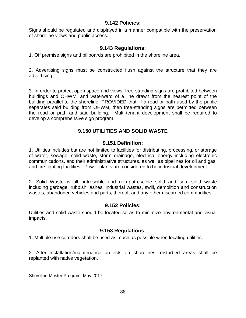#### **9.142 Policies:**

Signs should be regulated and displayed in a manner compatible with the preservation of shoreline views and public access.

# **9.143 Regulations:**

1. Off premise signs and billboards are prohibited in the shoreline area.

2. Advertising signs must be constructed flush against the structure that they are advertising.

3. In order to protect open space and views, free-standing signs are prohibited between buildings and OHWM, and waterward of a line drawn from the nearest point of the building parallel to the shoreline; PROVIDED that, if a road or path used by the public separates said building from OHWM, then free-standing signs are permitted between the road or path and said building. Multi-tenant development shall be required to develop a comprehensive sign program.

# **9.150 UTILITIES AND SOLID WASTE**

#### **9.151 Definition:**

1. Utilities includes but are not limited to facilities for distributing, processing, or storage of water, sewage, solid waste, storm drainage, electrical energy including electronic communications, and their administrative structures, as well as pipelines for oil and gas, and fire fighting facilities. Power plants are considered to be industrial development.

2. Solid Waste is all putrescible and non-putrescible solid and semi-solid waste including garbage, rubbish, ashes, industrial wastes, swill, demolition and construction wastes, abandoned vehicles and parts, thereof, and any other discarded commodities.

# **9.152 Policies:**

Utilities and solid waste should be located so as to minimize environmental and visual impacts.

#### **9.153 Regulations:**

1. Multiple use corridors shall be used as much as possible when locating utilities.

2. After installation/maintenance projects on shorelines, disturbed areas shall be replanted with native vegetation.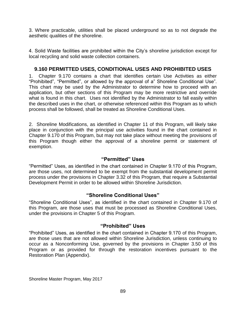3. Where practicable, utilities shall be placed underground so as to not degrade the aesthetic qualities of the shoreline.

4. Solid Waste facilities are prohibited within the City's shoreline jurisdiction except for local recycling and solid waste collection containers.

# **9.160 PERMITTED USES, CONDITIONAL USES AND PROHIBITED USES**

1. Chapter 9.170 contains a chart that identifies certain Use Activities as either "Prohibited", "Permitted", or allowed by the approval of a" Shoreline Conditional Use". This chart may be used by the Administrator to determine how to proceed with an application, but other sections of this Program may be more restrictive and override what is found in this chart. Uses not identified by the Administrator to fall easily within the described uses in the chart, or otherwise referenced within this Program as to which process shall be followed, shall be treated as Shoreline Conditional Uses.

2. Shoreline Modifications, as identified in Chapter 11 of this Program, will likely take place in conjunction with the principal use activities found in the chart contained in Chapter 9.170 of this Program, but may not take place without meeting the provisions of this Program though either the approval of a shoreline permit or statement of exemption.

### **"Permitted" Uses**

"Permitted" Uses, as identified in the chart contained in Chapter 9.170 of this Program, are those uses, not determined to be exempt from the substantial development permit process under the provisions in Chapter 3.32 of this Program, that require a Substantial Development Permit in order to be allowed within Shoreline Jurisdiction.

#### **"Shoreline Conditional Uses"**

"Shoreline Conditional Uses", as identified in the chart contained in Chapter 9.170 of this Program, are those uses that must be processed as Shoreline Conditional Uses, under the provisions in Chapter 5 of this Program.

#### **"Prohibited" Uses**

"Prohibited" Uses, as identified in the chart contained in Chapter 9.170 of this Program, are those uses that are not allowed within Shoreline Jurisdiction, unless continuing to occur as a Nonconforming Use, governed by the provisions in Chapter 3.50 of this Program or as provided for through the restoration incentives pursuant to the Restoration Plan (Appendix).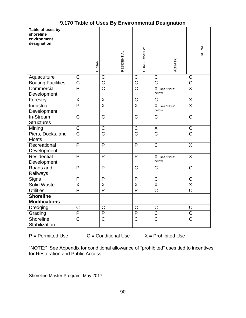| Table of uses by<br>shoreline<br>environment<br>designation |                         |                         |                         |                                   |                                  |
|-------------------------------------------------------------|-------------------------|-------------------------|-------------------------|-----------------------------------|----------------------------------|
|                                                             | <b>URBAN</b>            | <b>RESIDENTIAL</b>      | CONSERVANCY             | AQUATIC                           | <b>RURAL</b>                     |
| Aquaculture                                                 | $\mathsf C$             | $\mathsf C$             | $\mathsf C$             | $\mathsf{C}$                      | $\mathsf{C}$                     |
| <b>Boating Facilities</b>                                   | $\overline{\text{C}}$   | $\overline{\text{C}}$   | $\overline{\mathsf{C}}$ | $\overline{\text{C}}$             | $\overline{\text{C}}$            |
| Commercial<br>Development                                   | $\overline{\mathsf{P}}$ | $\overline{\text{C}}$   | $\overline{\text{C}}$   | X see "Note"<br>below             | $\overline{\mathsf{X}}$          |
| Forestry                                                    | $\overline{X}$          | $\overline{X}$          | $\overline{C}$          | $\mathsf C$                       | $\overline{X}$                   |
| Industrial<br>Development                                   | $\overline{\mathsf{P}}$ | $\overline{\mathsf{x}}$ | $\overline{\mathsf{x}}$ | X see "Note"<br>below             | $\overline{\mathsf{x}}$          |
| In-Stream<br><b>Structures</b>                              | $\overline{C}$          | $\overline{\text{C}}$   | $\overline{C}$          | $\overline{\text{C}}$             | $\overline{\text{C}}$            |
| Mining                                                      | $\mathsf C$             | C                       | $\mathsf C$             | X                                 | $\mathsf C$                      |
| Piers, Docks, and<br>Floats                                 | $\overline{\text{C}}$   | $\overline{\text{C}}$   | $\overline{\text{C}}$   | $\overline{\text{C}}$             | $\overline{\text{C}}$            |
| Recreational<br>Development                                 | $\overline{P}$          | $\overline{P}$          | P                       | $\overline{\text{C}}$             | X                                |
| Residential<br>Development                                  | $\mathsf{P}$            | P                       | $\mathsf{P}$            | X see "Note"<br>below             | X                                |
| Roads and<br>Railways                                       | $\mathsf{P}$            | P                       | $\overline{\text{C}}$   | $\overline{\text{C}}$             | $\overline{\text{C}}$            |
| Signs                                                       | P                       | P                       | P                       | $\mathsf C$                       | $\mathsf C$                      |
| <b>Solid Waste</b>                                          | $\overline{\mathsf{X}}$ | $\overline{\sf X}$      | $\overline{\mathsf{X}}$ | $\overline{\mathsf{X}}$           | $\overline{\mathsf{X}}$          |
| <b>Utilities</b>                                            | $\overline{\mathsf{P}}$ | $\overline{P}$          | $\overline{P}$          | $\overline{\text{C}}$             | $\overline{\text{C}}$            |
| <b>Shoreline</b><br><b>Modifications</b>                    |                         |                         |                         |                                   |                                  |
| Dredging                                                    | $\mathsf C$             | C                       | $\mathsf C$             | $\mathsf C$                       | $\mathsf C$                      |
| Grading                                                     | $\overline{P}$          | $\overline{P}$          | $\overline{P}$          | $rac{\overline{C}}{\overline{C}}$ | $\overline{\mathrm{C}}$          |
| Shoreline<br>Stabilization                                  | $\overline{\text{C}}$   | $\overline{\text{C}}$   | $\overline{\text{C}}$   |                                   | $\overline{\overline{\text{C}}}$ |

# **9.170 Table of Uses By Environmental Designation**

 $P = Permitted Use \t C = Conditional Use \t X = Prohibited Use$ 

"NOTE:" See Appendix for conditional allowance of "prohibited" uses tied to incentives for Restoration and Public Access.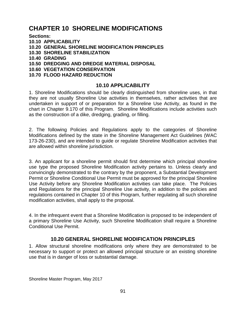# **CHAPTER 10 SHORELINE MODIFICATIONS**

**Sections:**

**10.10 APPLICABILITY**

**10.20 GENERAL SHORELINE MODIFICATION PRINCIPLES**

- **10.30 SHORELINE STABILIZATION**
- **10.40 GRADING**
- **10.50 DREDGING AND DREDGE MATERIAL DISPOSAL**
- **10.60 VEGETATION CONSERVATION**

# **10.70 FLOOD HAZARD REDUCTION**

# **10.10 APPLICABILITY**

1. Shoreline Modifications should be clearly distinguished from shoreline uses, in that they are not usually Shoreline Use activities in themselves, rather activities that are undertaken in support of or preparation for a Shoreline Use Activity, as found in the chart in Chapter 9.170 of this Program. Shoreline Modifications include activities such as the construction of a dike, dredging, grading, or filling.

2. The following Policies and Regulations apply to the categories of Shoreline Modifications defined by the state in the Shoreline Management Act Guidelines (WAC 173-26-230), and are intended to guide or regulate Shoreline Modification activities that are allowed within shoreline jurisdiction.

3. An applicant for a shoreline permit should first determine which principal shoreline use type the proposed Shoreline Modification activity pertains to. Unless clearly and convincingly demonstrated to the contrary by the proponent, a Substantial Development Permit or Shoreline Conditional Use Permit must be approved for the principal Shoreline Use Activity before any Shoreline Modification activities can take place. The Policies and Regulations for the principal Shoreline Use activity, in addition to the policies and regulations contained in Chapter 10 of this Program, further regulating all such shoreline modification activities, shall apply to the proposal.

4. In the infrequent event that a Shoreline Modification is proposed to be independent of a primary Shoreline Use Activity, such Shoreline Modification shall require a Shoreline Conditional Use Permit.

# **10.20 GENERAL SHORELINE MODIFICATION PRINCIPLES**

1. Allow structural shoreline modifications only where they are demonstrated to be necessary to support or protect an allowed principal structure or an existing shoreline use that is in danger of loss or substantial damage.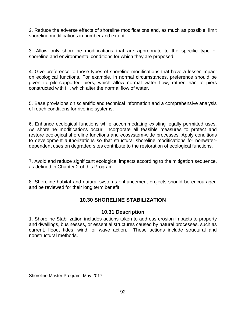2. Reduce the adverse effects of shoreline modifications and, as much as possible, limit shoreline modifications in number and extent.

3. Allow only shoreline modifications that are appropriate to the specific type of shoreline and environmental conditions for which they are proposed.

4. Give preference to those types of shoreline modifications that have a lesser impact on ecological functions. For example, in normal circumstances, preference should be given to pile-supported piers, which allow normal water flow, rather than to piers constructed with fill, which alter the normal flow of water.

5. Base provisions on scientific and technical information and a comprehensive analysis of reach conditions for riverine systems.

6. Enhance ecological functions while accommodating existing legally permitted uses. As shoreline modifications occur, incorporate all feasible measures to protect and restore ecological shoreline functions and ecosystem-wide processes. Apply conditions to development authorizations so that structural shoreline modifications for nonwaterdependent uses on degraded sites contribute to the restoration of ecological functions.

7. Avoid and reduce significant ecological impacts according to the mitigation sequence, as defined in Chapter 2 of this Program.

8. Shoreline habitat and natural systems enhancement projects should be encouraged and be reviewed for their long term benefit.

# **10.30 SHORELINE STABILIZATION**

#### **10.31 Description**

1. Shoreline Stabilization includes actions taken to address erosion impacts to property and dwellings, businesses, or essential structures caused by natural processes, such as current, flood, tides, wind, or wave action. These actions include structural and nonstructural methods.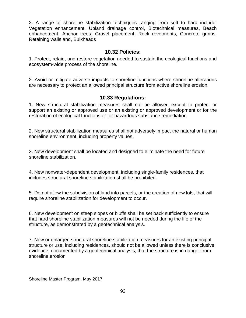2. A range of shoreline stabilization techniques ranging from soft to hard include: Vegetation enhancement, Upland drainage control, Biotechnical measures, Beach enhancement, Anchor trees, Gravel placement, Rock revetments, Concrete groins, Retaining walls and, Bulkheads

#### **10.32 Policies:**

1. Protect, retain, and restore vegetation needed to sustain the ecological functions and ecosystem-wide process of the shoreline.

2. Avoid or mitigate adverse impacts to shoreline functions where shoreline alterations are necessary to protect an allowed principal structure from active shoreline erosion.

### **10.33 Regulations:**

1. New structural stabilization measures shall not be allowed except to protect or support an existing or approved use or an existing or approved development or for the restoration of ecological functions or for hazardous substance remediation.

2. New structural stabilization measures shall not adversely impact the natural or human shoreline environment, including property values.

3. New development shall be located and designed to eliminate the need for future shoreline stabilization.

4. New nonwater-dependent development, including single-family residences, that includes structural shoreline stabilization shall be prohibited.

5. Do not allow the subdivision of land into parcels, or the creation of new lots, that will require shoreline stabilization for development to occur.

6. New development on steep slopes or bluffs shall be set back sufficiently to ensure that hard shoreline stabilization measures will not be needed during the life of the structure, as demonstrated by a geotechnical analysis.

7. New or enlarged structural shoreline stabilization measures for an existing principal structure or use, including residences, should not be allowed unless there is conclusive evidence, documented by a geotechnical analysis, that the structure is in danger from shoreline erosion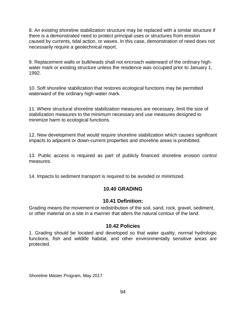8. An existing shoreline stabilization structure may be replaced with a similar structure if there is a demonstrated need to protect principal uses or structures from erosion caused by currents, tidal action, or waves. In this case, demonstration of need does not necessarily require a geotechnical report.

9. Replacement walls or bulkheads shall not encroach waterward of the ordinary highwater mark or existing structure unless the residence was occupied prior to January 1, 1992.

10. Soft shoreline stabilization that restores ecological functions may be permitted waterward of the ordinary high-water mark.

11. Where structural shoreline stabilization measures are necessary, limit the size of stabilization measures to the minimum necessary and use measures designed to minimize harm to ecological functions.

12. New development that would require shoreline stabilization which causes significant impacts to adjacent or down-current properties and shoreline areas is prohibited.

13. Public access is required as part of publicly financed shoreline erosion control measures.

14. Impacts to sediment transport is required to be avoided or minimized.

# **10.40 GRADING**

# **10.41 Definition:**

Grading means the movement or redistribution of the soil, sand, rock, gravel, sediment, or other material on a site in a manner that alters the natural contour of the land.

# **10.42 Policies**

1. Grading should be located and developed so that water quality, normal hydrologic functions, fish and wildlife habitat, and other environmentally sensitive areas are protected.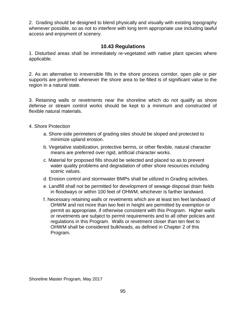2. Grading should be designed to blend physically and visually with existing topography whenever possible, so as not to interfere with long term appropriate use including lawful access and enjoyment of scenery.

# **10.43 Regulations**

1. Disturbed areas shall be immediately re-vegetated with native plant species where applicable.

2. As an alternative to irreversible fills in the shore process corridor, open pile or pier supports are preferred whenever the shore area to be filled is of significant value to the region in a natural state.

3. Retaining walls or revetments near the shoreline which do not qualify as shore defense or stream control works should be kept to a minimum and constructed of flexible natural materials.

- 4. Shore Protection
	- a. Shore-side perimeters of grading sites should be sloped and protected to minimize upland erosion.
	- b. Vegetative stabilization, protective berms, or other flexible, natural character means are preferred over rigid, artificial character works.
	- c. Material for proposed fills should be selected and placed so as to prevent water quality problems and degradation of other shore resources including scenic values.
	- d. Erosion control and stormwater BMPs shall be utilized in Grading activities.
	- e. Landfill shall not be permitted for development of sewage disposal drain fields in floodways or within 100 feet of OHWM, whichever is farther landward.
	- f. Necessary retaining walls or revetments which are at least ten feet landward of OHWM and not more than two feet in height are permitted by exemption or permit as appropriate, if otherwise consistent with this Program. Higher walls or revetments are subject to permit requirements and to all other policies and regulations in this Program. Walls or revetment closer than ten feet to OHWM shall be considered bulkheads, as defined in Chapter 2 of this Program.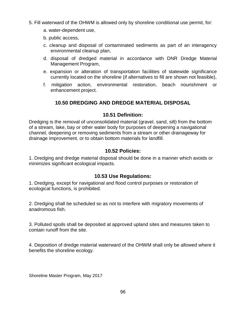- 5. Fill waterward of the OHWM is allowed only by shoreline conditional use permit, for:
	- a. water-dependent use,
	- b. public access,
	- c. cleanup and disposal of contaminated sediments as part of an interagency environmental cleanup plan,
	- d. disposal of dredged material in accordance with DNR Dredge Material Management Program,
	- e. expansion or alteration of transportation facilities of statewide significance currently located on the shoreline (if alternatives to fill are shown not feasible),
	- f. mitigation action, environmental restoration, beach nourishment or enhancement project.

# **10.50 DREDGING AND DREDGE MATERIAL DISPOSAL**

# **10.51 Definition:**

Dredging is the removal of unconsolidated material (gravel, sand, silt) from the bottom of a stream, lake, bay or other water body for purposes of deepening a navigational channel, deepening or removing sediments from a stream or other drainageway for drainage improvement, or to obtain bottom materials for landfill.

### **10.52 Policies:**

1. Dredging and dredge material disposal should be done in a manner which avoids or minimizes significant ecological impacts.

# **10.53 Use Regulations:**

1. Dredging, except for navigational and flood control purposes or restoration of ecological functions, is prohibited.

2. Dredging shall be scheduled so as not to interfere with migratory movements of anadromous fish.

3. Polluted spoils shall be deposited at approved upland sites and measures taken to contain runoff from the site.

4. Deposition of dredge material waterward of the OHWM shall only be allowed where it benefits the shoreline ecology.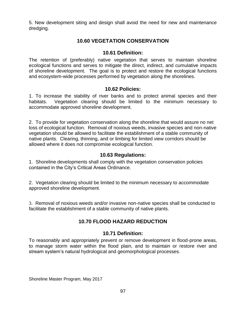5. New development siting and design shall avoid the need for new and maintenance dredging.

# **10.60 VEGETATION CONSERVATION**

# **10.61 Definition:**

The retention of (preferably) native vegetation that serves to maintain shoreline ecological functions and serves to mitigate the direct, indirect, and cumulative impacts of shoreline development. The goal is to protect and restore the ecological functions and ecosystem-wide processes performed by vegetation along the shorelines.

### **10.62 Policies:**

1. To increase the stability of river banks and to protect animal species and their habitats. Vegetation clearing should be limited to the minimum necessary to accommodate approved shoreline development.

2. To provide for vegetation conservation along the shoreline that would assure no net loss of ecological function. Removal of noxious weeds, invasive species and non-native vegetation should be allowed to facilitate the establishment of a stable community of native plants. Clearing, thinning, and or limbing for limited view corridors should be allowed where it does not compromise ecological function.

# **10.63 Regulations:**

1. Shoreline developments shall comply with the vegetation conservation policies contained in the City's Critical Areas Ordinance.

2. Vegetation clearing should be limited to the minimum necessary to accommodate approved shoreline development.

3. Removal of noxious weeds and/or invasive non-native species shall be conducted to facilitate the establishment of a stable community of native plants.

# **10.70 FLOOD HAZARD REDUCTION**

# **10.71 Definition:**

To reasonably and appropriately prevent or remove development in flood-prone areas, to manage storm water within the flood plain, and to maintain or restore river and stream system's natural hydrological and geomorphological processes.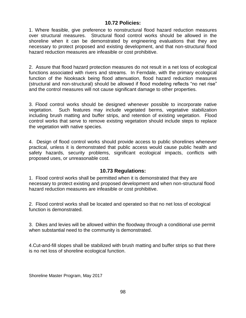# **10.72 Policies:**

1. Where feasible, give preference to nonstructural flood hazard reduction measures over structural measures. Structural flood control works should be allowed in the shoreline when it can be demonstrated by engineering evaluations that they are necessary to protect proposed and existing development, and that non-structural flood hazard reduction measures are infeasible or cost prohibitive.

2. Assure that flood hazard protection measures do not result in a net loss of ecological functions associated with rivers and streams. In Ferndale, with the primary ecological function of the Nooksack being flood attenuation, flood hazard reduction measures (structural and non-structural) should be allowed if flood modeling reflects "no net rise" and the control measures will not cause significant damage to other properties.

3. Flood control works should be designed whenever possible to incorporate native vegetation. Such features may include vegetated berms, vegetative stabilization including brush matting and buffer strips, and retention of existing vegetation. Flood control works that serve to remove existing vegetation should include steps to replace the vegetation with native species.

4. Design of flood control works should provide access to public shorelines whenever practical, unless it is demonstrated that public access would cause public health and safety hazards, security problems, significant ecological impacts, conflicts with proposed uses, or unreasonable cost.

#### **10.73 Regulations:**

1. Flood control works shall be permitted when it is demonstrated that they are necessary to protect existing and proposed development and when non-structural flood hazard reduction measures are infeasible or cost prohibitive.

2. Flood control works shall be located and operated so that no net loss of ecological function is demonstrated.

3. Dikes and levies will be allowed within the floodway through a conditional use permit when substantial need to the community is demonstrated.

4.Cut-and-fill slopes shall be stabilized with brush matting and buffer strips so that there is no net loss of shoreline ecological function.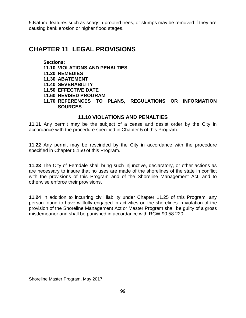5.Natural features such as snags, uprooted trees, or stumps may be removed if they are causing bank erosion or higher flood stages.

# **CHAPTER 11 LEGAL PROVISIONS**

#### **Sections: 11.10 VIOLATIONS AND PENALTIES 11.20 REMEDIES 11.30 ABATEMENT 11.40 SEVERABILITY 11.50 EFFECTIVE DATE 11.60 REVISED PROGRAM 11.70 REFERENCES TO PLANS, REGULATIONS OR INFORMATION SOURCES**

# **11.10 VIOLATIONS AND PENALTIES**

**11.11** Any permit may be the subject of a cease and desist order by the City in accordance with the procedure specified in Chapter 5 of this Program.

**11.22** Any permit may be rescinded by the City in accordance with the procedure specified in Chapter 5.150 of this Program.

**11.23** The City of Ferndale shall bring such injunctive, declaratory, or other actions as are necessary to insure that no uses are made of the shorelines of the state in conflict with the provisions of this Program and of the Shoreline Management Act, and to otherwise enforce their provisions.

**11.24** In addition to incurring civil liability under Chapter 11.25 of this Program, any person found to have willfully engaged in activities on the shorelines in violation of the provision of the Shoreline Management Act or Master Program shall be guilty of a gross misdemeanor and shall be punished in accordance with RCW 90.58.220.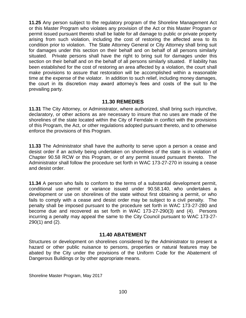**11.25** Any person subject to the regulatory program of the Shoreline Management Act or this Master Program who violates any provision of the Act or this Master Program or permit issued pursuant thereto shall be liable for all damage to public or private property arising from such violation, including the cost of restoring the affected area to its condition prior to violation. The State Attorney General or City Attorney shall bring suit for damages under this section on their behalf and on behalf of all persons similarly situated. Private persons shall have the right to bring suit for damages under this section on their behalf and on the behalf of all persons similarly situated. If liability has been established for the cost of restoring an area affected by a violation, the court shall make provisions to assure that restoration will be accomplished within a reasonable time at the expense of the violator. In addition to such relief, including money damages, the court in its discretion may award attorney's fees and costs of the suit to the prevailing party.

#### **11.30 REMEDIES**

**11.31** The City Attorney, or Administrator, where authorized, shall bring such injunctive, declaratory, or other actions as are necessary to insure that no uses are made of the shorelines of the state located within the City of Ferndale in conflict with the provisions of this Program, the Act, or other regulations adopted pursuant thereto, and to otherwise enforce the provisions of this Program.

**11.33** The Administrator shall have the authority to serve upon a person a cease and desist order if an activity being undertaken on shorelines of the state is in violation of Chapter 90.58 RCW or this Program, or of any permit issued pursuant thereto. The Administrator shall follow the procedure set forth in WAC 173-27-270 in issuing a cease and desist order.

**11.34** A person who fails to conform to the terms of a substantial development permit, conditional use permit or variance issued under 90.58.140, who undertakes a development or use on shorelines of the state without first obtaining a permit, or who fails to comply with a cease and desist order may be subject to a civil penalty. The penalty shall be imposed pursuant to the procedure set forth in WAC 173-27-280 and become due and recovered as set forth in WAC 173-27-290(3) and (4). Persons incurring a penalty may appeal the same to the City Council pursuant to WAC 173-27- 290(1) and (2).

#### **11.40 ABATEMENT**

Structures or development on shorelines considered by the Administrator to present a hazard or other public nuisance to persons, properties or natural features may be abated by the City under the provisions of the Uniform Code for the Abatement of Dangerous Buildings or by other appropriate means.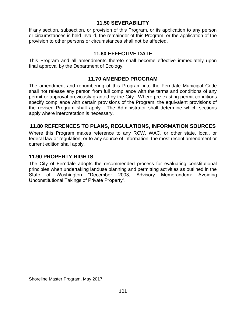# **11.50 SEVERABILITY**

If any section, subsection, or provision of this Program, or its application to any person or circumstances is held invalid, the remainder of this Program, or the application of the provision to other persons or circumstances shall not be affected.

# **11.60 EFFECTIVE DATE**

This Program and all amendments thereto shall become effective immediately upon final approval by the Department of Ecology.

### **11.70 AMENDED PROGRAM**

The amendment and renumbering of this Program into the Ferndale Municipal Code shall not release any person from full compliance with the terms and conditions of any permit or approval previously granted by the City. Where pre-existing permit conditions specify compliance with certain provisions of the Program, the equivalent provisions of the revised Program shall apply. The Administrator shall determine which sections apply where interpretation is necessary.

# **11.80 REFERENCES TO PLANS, REGULATIONS, INFORMATION SOURCES**

Where this Program makes reference to any RCW, WAC, or other state, local, or federal law or regulation, or to any source of information, the most recent amendment or current edition shall apply.

# **11.90 PROPERTY RIGHTS**

The City of Ferndale adopts the recommended process for evaluating constitutional principles when undertaking landuse planning and permitting activities as outlined in the State of Washington "December 2003, Advisory Memorandum: Avoiding Unconstitutional Takings of Private Property".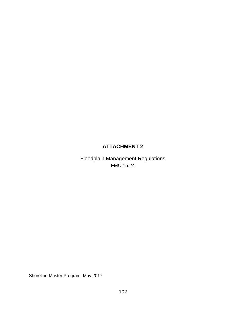# **ATTACHMENT 2**

Floodplain Management Regulations FMC 15.24